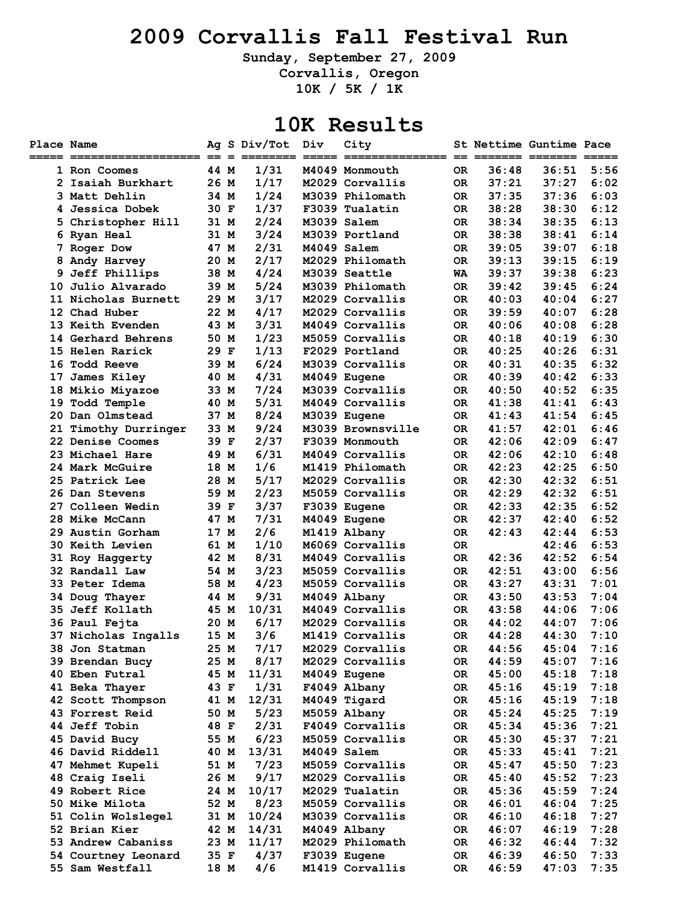### **2009 Corvallis Fall Festival Run**

**Sunday, September 27, 2009** 

**Corvallis, Oregon** 

**10K / 5K / 1K** 

#### **10K Results**

| Place Name |                        |      | Ag S Div/Tot | Div         | City              |           |       | St Nettime Guntime Pace |      |
|------------|------------------------|------|--------------|-------------|-------------------|-----------|-------|-------------------------|------|
|            |                        |      |              |             |                   |           |       |                         |      |
|            | 1 Ron Coomes           | 44 M | 1/31         |             | M4049 Monmouth    | OR.       | 36:48 | 36:51                   | 5:56 |
|            | 2 Isaiah Burkhart      | 26 M | 1/17         |             | M2029 Corvallis   | OR.       | 37:21 | 37:27                   | 6:02 |
|            | 3 Matt Dehlin          | 34 M | 1/24         |             | M3039 Philomath   | OR.       | 37:35 | 37:36                   | 6:03 |
|            | 4 Jessica Dobek        | 30 F | 1/37         |             | F3039 Tualatin    | 0R        | 38:28 | 38:30                   | 6:12 |
|            | 5 Christopher Hill     | 31 M | 2/24         |             | M3039 Salem       | 0R        | 38:34 | 38:35                   | 6:13 |
|            | 6 Ryan Heal            | 31 M | 3/24         |             | M3039 Portland    | 0R        | 38:38 | 38:41                   | 6:14 |
|            | 7 Roger Dow            | 47 M | 2/31         | M4049 Salem |                   | 0R        | 39:05 | 39:07                   | 6:18 |
|            | 8 Andy Harvey          | 20 M | 2/17         |             | M2029 Philomath   | OR.       | 39:13 | 39:15                   | 6:19 |
|            | 9 Jeff Phillips        | 38 M | 4/24         |             | M3039 Seattle     | WA        | 39:37 | 39:38                   | 6:23 |
|            | 10 Julio Alvarado      | 39 M | 5/24         |             | M3039 Philomath   | OR.       | 39:42 | 39:45                   | 6:24 |
|            | 11 Nicholas Burnett    | 29 M | 3/17         |             | M2029 Corvallis   | OR.       | 40:03 | 40:04                   | 6:27 |
|            | 12 Chad Huber          | 22 M | 4/17         |             | M2029 Corvallis   | 0R        | 39:59 | 40:07                   | 6:28 |
|            | 13 Keith Evenden       | 43 M | 3/31         |             | M4049 Corvallis   | 0R        | 40:06 | 40:08                   | 6:28 |
|            | 14 Gerhard Behrens     | 50 M | 1/23         |             | M5059 Corvallis   | 0R        | 40:18 | 40:19                   | 6:30 |
|            | 15 Helen Rarick        | 29 F | 1/13         |             | F2029 Portland    | OR.       | 40:25 | 40:26                   | 6:31 |
|            | 16 Todd Reeve          | 39 M | 6/24         |             | M3039 Corvallis   | 0R        | 40:31 | 40:35                   | 6:32 |
|            | 17 James Kiley         | 40 M | 4/31         |             | M4049 Eugene      | OR.       | 40:39 | 40:42                   | 6:33 |
|            | 18 Mikio Miyazoe       | 33 M | 7/24         |             | M3039 Corvallis   | OR.       | 40:50 | 40:52                   | 6:35 |
|            | 19 Todd Temple         | 40 M | 5/31         |             | M4049 Corvallis   | OR.       | 41:38 | 41:41                   | 6:43 |
|            | 20 Dan Olmstead        | 37 M | 8/24         |             | M3039 Eugene      | OR.       | 41:43 | 41:54                   | 6:45 |
|            | 21 Timothy Durringer   | 33 M | 9/24         |             | M3039 Brownsville | 0R        | 41:57 | 42:01                   | 6:46 |
|            | 22 Denise Coomes       | 39 F | 2/37         |             | F3039 Monmouth    | 0R        | 42:06 | 42:09                   | 6:47 |
|            | 23 Michael Hare        | 49 M | 6/31         |             | M4049 Corvallis   | <b>OR</b> | 42:06 | 42:10                   | 6:48 |
|            | 24 Mark McGuire        | 18 M | 1/6          |             | M1419 Philomath   | OR.       | 42:23 | 42:25                   | 6:50 |
|            | 25 Patrick Lee         | 28 M | 5/17         |             | M2029 Corvallis   | 0R        | 42:30 | 42:32                   | 6:51 |
|            | 26 Dan Stevens         | 59 M | 2/23         |             | M5059 Corvallis   | OR.       | 42:29 | 42:32                   | 6:51 |
|            | 27 Colleen Wedin       | 39 F | 3/37         |             | F3039 Eugene      | OR.       | 42:33 | 42:35                   | 6:52 |
|            | 28 Mike McCann         | 47 M | 7/31         |             | M4049 Eugene      | OR.       | 42:37 | 42:40                   | 6:52 |
|            | 29 Austin Gorham       | 17 M | 2/6          |             | M1419 Albany      | OR.       | 42:43 | 42:44                   | 6:53 |
|            | <b>30 Keith Levien</b> | 61 M | 1/10         |             | M6069 Corvallis   | 0R        |       | 42:46                   | 6:53 |
|            | 31 Roy Haggerty        | 42 M | 8/31         |             | M4049 Corvallis   | 0R        | 42:36 | 42:52                   | 6:54 |
|            | 32 Randall Law         | 54 M | 3/23         |             | M5059 Corvallis   | OR.       | 42:51 | 43:00                   | 6:56 |
|            | 33 Peter Idema         | 58 M | 4/23         |             | M5059 Corvallis   | OR.       | 43:27 | 43:31                   | 7:01 |
|            | 34 Doug Thayer         | 44 M | 9/31         |             | M4049 Albany      | OR.       | 43:50 | 43:53                   | 7:04 |
|            | 35 Jeff Kollath        | 45 M | 10/31        |             | M4049 Corvallis   | OR.       | 43:58 | 44:06                   | 7:06 |
|            | 36 Paul Fejta          | 20 M | 6/17         |             | M2029 Corvallis   | OR.       | 44:02 | 44:07                   | 7:06 |
|            | 37 Nicholas Ingalls    | 15 M | 3/6          |             | M1419 Corvallis   | OR.       | 44:28 | 44:30                   | 7:10 |
|            | 38 Jon Statman         | 25 M | 7/17         |             | M2029 Corvallis   | OR        | 44:56 | 45:04                   | 7:16 |
|            | 39 Brendan Bucy        | 25 M | 8/17         |             | M2029 Corvallis   | OR.       | 44:59 | 45:07                   | 7:16 |
|            | 40 Eben Futral         | 45 M | 11/31        |             | M4049 Eugene      | OR        | 45:00 | 45:18                   | 7:18 |
|            | 41 Beka Thayer         | 43 F | 1/31         |             | F4049 Albany      | OR        | 45:16 | 45:19                   | 7:18 |
|            | 42 Scott Thompson      | 41 M | 12/31        |             | M4049 Tigard      | OR        | 45:16 | 45:19                   | 7:18 |
|            | 43 Forrest Reid        | 50 M | 5/23         |             | M5059 Albany      | OR        | 45:24 | 45:25                   | 7:19 |
|            | 44 Jeff Tobin          | 48 F | 2/31         |             | F4049 Corvallis   | <b>OR</b> | 45:34 | 45:36                   | 7:21 |
|            | 45 David Bucy          | 55 M | 6/23         |             | M5059 Corvallis   | OR        | 45:30 | 45:37                   | 7:21 |
|            | 46 David Riddell       | 40 M | 13/31        |             | M4049 Salem       | OR        | 45:33 | 45:41                   | 7:21 |
|            | 47 Mehmet Kupeli       | 51 M | 7/23         |             | M5059 Corvallis   | OR        | 45:47 | 45:50                   | 7:23 |
|            | 48 Craig Iseli         | 26 M | 9/17         |             | M2029 Corvallis   | 0R        | 45:40 | 45:52                   | 7:23 |
|            | 49 Robert Rice         | 24 M | 10/17        |             | M2029 Tualatin    | OR        | 45:36 | 45:59                   | 7:24 |
|            | 50 Mike Milota         | 52 M | 8/23         |             | M5059 Corvallis   | 0R        | 46:01 | 46:04                   | 7:25 |
|            | 51 Colin Wolslegel     | 31 M | 10/24        |             | M3039 Corvallis   | OR        | 46:10 | 46:18                   | 7:27 |
|            | 52 Brian Kier          | 42 M | 14/31        |             | M4049 Albany      | OR        | 46:07 | 46:19                   | 7:28 |
|            | 53 Andrew Cabaniss     | 23 M | 11/17        |             | M2029 Philomath   | OR        | 46:32 | 46:44                   | 7:32 |
|            | 54 Courtney Leonard    | 35 F | 4/37         |             | F3039 Eugene      | OR        | 46:39 | 46:50                   | 7:33 |
|            | 55 Sam Westfall        | 18 M | 4/6          |             | M1419 Corvallis   | OR        | 46:59 | 47:03                   | 7:35 |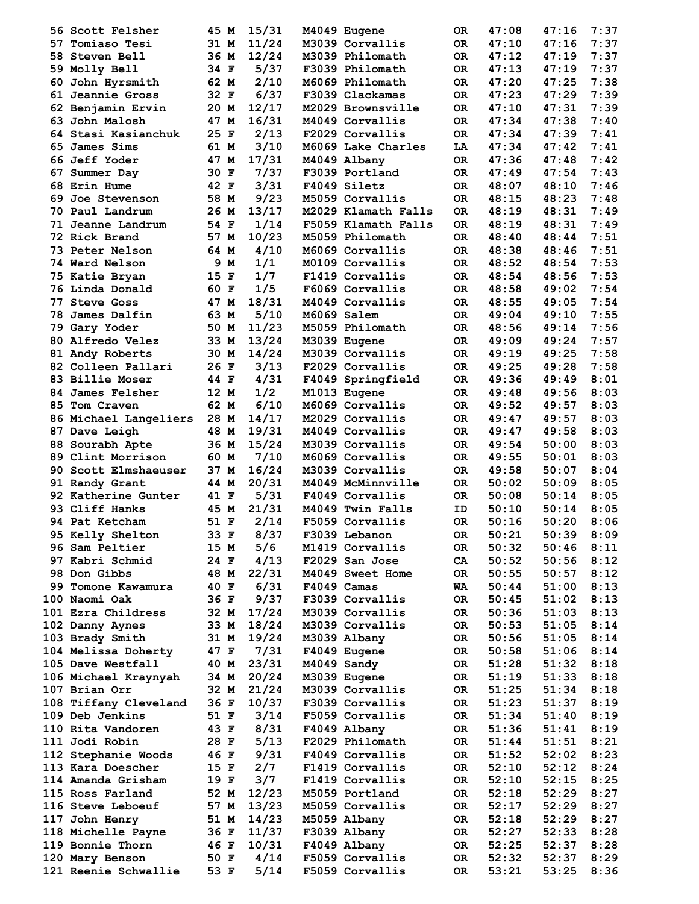|     | 56 Scott Felsher                              | 45 M   | 15/31      | M4049 Eugene        | 0R        | 47:08 | 47:16          | 7:37 |
|-----|-----------------------------------------------|--------|------------|---------------------|-----------|-------|----------------|------|
|     | 57 Tomiaso Tesi                               | 31 M   | 11/24      | M3039 Corvallis     | 0R        | 47:10 | 47:16          | 7:37 |
|     | 58 Steven Bell                                | 36 M   | 12/24      | M3039 Philomath     | OR.       | 47:12 | 47:19          | 7:37 |
|     | 59 Molly Bell                                 | 34 F   | 5/37       | F3039 Philomath     | 0R        | 47:13 | 47:19          | 7:37 |
| 60. | John Hyrsmith                                 | 62 M   | 2/10       | M6069 Philomath     | OR.       | 47:20 | 47:25          | 7:38 |
|     | 61 Jeannie Gross                              | 32 F   | 6/37       | F3039 Clackamas     | OR.       | 47:23 | 47:29          | 7:39 |
|     | 62 Benjamin Ervin                             | 20 M   | 12/17      | M2029 Brownsville   | 0R        | 47:10 | 47:31          | 7:39 |
|     | 63 John Malosh                                | 47 M   | 16/31      | M4049 Corvallis     | 0R        | 47:34 | 47:38          | 7:40 |
|     | 64 Stasi Kasianchuk                           | 25 F   | 2/13       | F2029 Corvallis     | 0R        | 47:34 | 47:39          | 7:41 |
|     | 65 James Sims                                 | 61 M   | 3/10       | M6069 Lake Charles  | LA        | 47:34 | 47:42          | 7:41 |
|     | <b>66 Jeff Yoder</b>                          | 47 M   | 17/31      | M4049 Albany        | OR.       | 47:36 | 47:48          | 7:42 |
|     | 67 Summer Day                                 | 30 F   | 7/37       | F3039 Portland      | OR.       | 47:49 | 47:54          | 7:43 |
|     | <b>68 Erin Hume</b>                           | 42 F   | 3/31       | F4049 Siletz        | OR.       | 48:07 | 48:10          | 7:46 |
| 69. | Joe Stevenson                                 | 58 M   | 9/23       | M5059 Corvallis     | OR.       | 48:15 | 48:23          | 7:48 |
|     | 70 Paul Landrum                               | 26 M   | 13/17      | M2029 Klamath Falls | OR.       | 48:19 | 48:31          | 7:49 |
|     | 71 Jeanne Landrum                             | 54 F   | 1/14       | F5059 Klamath Falls | 0R        | 48:19 | 48:31          | 7:49 |
|     | 72 Rick Brand                                 | 57 M   | 10/23      | M5059 Philomath     | 0R        | 48:40 | 48:44          | 7:51 |
|     | <b>73 Peter Nelson</b>                        | 64 M   | 4/10       | M6069 Corvallis     | <b>OR</b> | 48:38 | 48:46          | 7:51 |
|     | <b>74 Ward Nelson</b>                         | 9 M    | 1/1        | M0109 Corvallis     | OR.       | 48:52 | 48:54          | 7:53 |
|     | 75 Katie Bryan                                | $15$ F | 1/7        | F1419 Corvallis     | 0R        | 48:54 | 48:56          | 7:53 |
|     | 76 Linda Donald                               | 60 F   | 1/5        | F6069 Corvallis     | OR.       | 48:58 | 49:02          | 7:54 |
| 77  | <b>Steve Goss</b>                             | 47 M   | 18/31      | M4049 Corvallis     | OR.       | 48:55 | 49:05          | 7:54 |
| 78  | James Dalfin                                  | 63 M   | 5/10       | M6069 Salem         | OR.       | 49:04 | 49:10          | 7:55 |
|     |                                               | 50 M   | 11/23      | M5059 Philomath     |           | 48:56 | 49:14          | 7:56 |
|     | 79 Gary Yoder                                 |        |            |                     | OR.       |       |                |      |
|     | 80 Alfredo Velez                              | 33 M   | 13/24      | M3039 Eugene        | OR.       | 49:09 | 49:24          | 7:57 |
|     | 81 Andy Roberts                               | 30 M   | 14/24      | M3039 Corvallis     | OR.       | 49:19 | 49:25          | 7:58 |
|     | 82 Colleen Pallari                            | 26 F   | 3/13       | F2029 Corvallis     | 0R        | 49:25 | 49:28          | 7:58 |
|     | 83 Billie Moser                               | 44 F   | 4/31       | F4049 Springfield   | OR.       | 49:36 | 49:49          | 8:01 |
|     | 84 James Felsher                              | 12 M   | 1/2        | M1013 Eugene        | OR.       | 49:48 | 49:56          | 8:03 |
|     | 85 Tom Craven                                 | 62 M   | 6/10       | M6069 Corvallis     | OR.       | 49:52 | 49:57          | 8:03 |
|     | 86 Michael Langeliers                         | 28 M   | 14/17      | M2029 Corvallis     | OR.       | 49:47 | 49:57          | 8:03 |
|     | 87 Dave Leigh                                 | 48 M   | 19/31      | M4049 Corvallis     | OR.       | 49:47 | 49:58          | 8:03 |
|     | 88 Sourabh Apte                               | 36 M   | 15/24      | M3039 Corvallis     | OR.       | 49:54 | 50:00          | 8:03 |
|     | 89 Clint Morrison                             | 60 M   | 7/10       | M6069 Corvallis     | OR.       | 49:55 | 50:01          | 8:03 |
|     | 90 Scott Elmshaeuser                          | 37 M   | 16/24      | M3039 Corvallis     | OR.       | 49:58 | 50:07          | 8:04 |
|     | 91 Randy Grant                                | 44 M   | 20/31      | M4049 McMinnville   | <b>OR</b> | 50:02 | 50:09          | 8:05 |
|     | 92 Katherine Gunter                           | 41 F   | 5/31       | F4049 Corvallis     | OR.       | 50:08 | 50:14          | 8:05 |
|     | 93 Cliff Hanks                                | 45 M   | 21/31      | M4049 Twin Falls    | ID        | 50:10 | 50:14          | 8:05 |
|     | 94 Pat Ketcham                                | 51 F   | 2/14       | F5059 Corvallis     | OR.       | 50:16 | 50:20          | 8:06 |
|     | 95 Kelly Shelton                              | 33 F   | 8/37       | F3039 Lebanon       | OR        | 50:21 | 50:39          | 8:09 |
|     | 96 Sam Peltier                                | 15 M   | 5/6        | M1419 Corvallis     | OR .      | 50:32 | $50:46$ $8:11$ |      |
|     | 97 Kabri Schmid 24 F                          |        | 4/13       | F2029 San Jose      | CA        | 50:52 | $50:56$ $8:12$ |      |
|     | 98 Don Gibbs<br>48 M                          |        | 22/31      | M4049 Sweet Home    | OR        | 50:55 | 50:57          | 8:12 |
|     | 99 Tomone Kawamura 40 F                       |        | 6/31       | F4049 Camas         | WA        | 50:44 | 51:00          | 8:13 |
|     | 100 Naomi Oak                                 | 36 F   | 9/37       | F3039 Corvallis     | OR        | 50:45 | 51:02          | 8:13 |
|     | 101 Ezra Childress                            |        | 32 M 17/24 | M3039 Corvallis     | OR        | 50:36 | $51:03$ $8:13$ |      |
|     | 102 Danny Aynes                               |        | 33 M 18/24 | M3039 Corvallis     | OR        | 50:53 | $51:05$ 8:14   |      |
|     | 103 Brady Smith                               |        | 31 M 19/24 | M3039 Albany        | OR        | 50:56 | 51:05          | 8:14 |
|     | 104 Melissa Doherty 47 F 7/31                 |        |            | F4049 Eugene        | OR        | 50:58 | 51:06          | 8:14 |
|     | 105 Dave Westfall 40 M                        |        | 23/31      | M4049 Sandy         | <b>OR</b> | 51:28 | 51:32          | 8:18 |
|     | 106 Michael Kraynyah 34 M                     |        | 20/24      | M3039 Eugene        | OR D      | 51:19 | 51:33          | 8:18 |
|     | 107 Brian Orr<br>32 M                         |        | 21/24      | M3039 Corvallis     | OR        | 51:25 | 51:34          | 8:18 |
|     | 108 Tiffany Cleveland 36 F                    |        | 10/37      | F3039 Corvallis     | <b>OR</b> | 51:23 | 51:37          | 8:19 |
|     | 109 Deb Jenkins                               | 51 F   | 3/14       | F5059 Corvallis     | OR        | 51:34 | 51:40          | 8:19 |
|     | 110 Rita Vandoren                             | 43 F   | 8/31       | F4049 Albany        | OR        | 51:36 | 51:41          | 8:19 |
|     | 111 Jodi Robin                                | 28 F   | 5/13       | F2029 Philomath     | OR        | 51:44 | 51:51          | 8:21 |
|     | 112 Stephanie Woods 46 F                      |        | 9/31       | F4049 Corvallis     | OR        | 51:52 | 52:02          | 8:23 |
|     | 113 Kara Doescher                             | 15 F   | 2/7        | F1419 Corvallis     | OR        | 52:10 | 52:12          | 8:24 |
|     | 114 Amanda Grisham                            | 19 F   | 3/7        | F1419 Corvallis     | OR        |       | 52:15          | 8:25 |
|     | 115 Ross Farland                              |        | 12/23      | M5059 Portland      | OR        | 52:10 | 52:29          | 8:27 |
|     |                                               | 52 M   |            |                     |           | 52:18 |                |      |
|     | 116 Steve Leboeuf                             | 57 M   | 13/23      | M5059 Corvallis     | OR        | 52:17 | 52:29          | 8:27 |
|     | 117 John Henry                                | 51 M   | 14/23      | M5059 Albany        | OR        | 52:18 | 52:29          | 8:27 |
|     | 118 Michelle Payne 36 F                       |        | 11/37      | F3039 Albany        | OR        | 52:27 | 52:33          | 8:28 |
|     | 119 Bonnie Thorn 16 F<br>120 Marv Benson 50 F |        | 10/31      | F4049 Albany        | OR        | 52:25 | 52:37          | 8:28 |
|     |                                               |        | 4/14       | F5059 Corvallis     | OR        | 52:32 | 52:37          | 8:29 |
|     | 121 Reenie Schwallie 53 F                     |        | 5/14       | F5059 Corvallis     | OR        | 53:21 | 53:25          | 8:36 |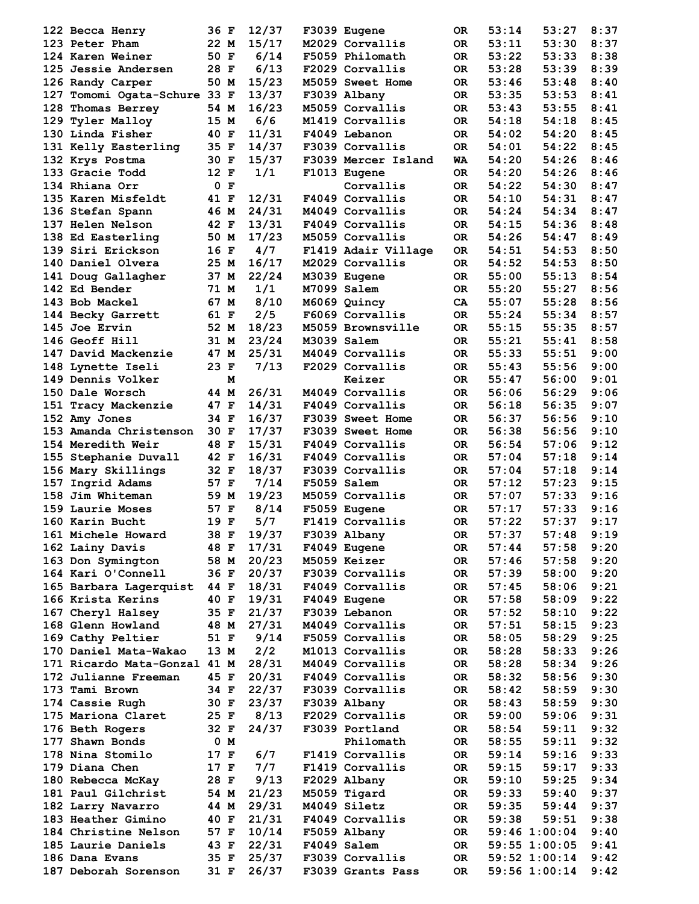| 122 Becca Henry              | 36 F   |      | 12/37          | F3039 Eugene        | OR.       | 53:14 | 53:27          | 8:37 |
|------------------------------|--------|------|----------------|---------------------|-----------|-------|----------------|------|
| 123 Peter Pham               | 22 M   |      | 15/17          | M2029 Corvallis     | <b>OR</b> | 53:11 | 53:30          | 8:37 |
| 124 Karen Weiner             | 50 F   |      | 6/14           | F5059 Philomath     | OR.       | 53:22 | 53:33          | 8:38 |
| <b>125 Jessie Andersen</b>   | 28 F   |      | 6/13           | F2029 Corvallis     | 0R        | 53:28 | 53:39          | 8:39 |
| 126 Randy Carper             | 50 M   |      | 15/23          | M5059 Sweet Home    | OR.       | 53:46 | 53:48          | 8:40 |
| 127 Tomomi Ogata-Schure 33 F |        |      | 13/37          | F3039 Albany        | OR.       | 53:35 | 53:53          | 8:41 |
| 128 Thomas Berrey            | 54 M   |      | 16/23          | M5059 Corvallis     | OR.       | 53:43 | 53:55          | 8:41 |
| 129 Tyler Malloy             | 15 M   |      | 6/6            | M1419 Corvallis     | <b>OR</b> | 54:18 | 54:18          | 8:45 |
| 130 Linda Fisher             | 40 F   |      | 11/31          | F4049 Lebanon       | OR.       | 54:02 | 54:20          | 8:45 |
| 131 Kelly Easterling         | 35 F   |      | 14/37          | F3039 Corvallis     | OR.       | 54:01 | 54:22          | 8:45 |
| 132 Krys Postma              | 30 F   |      | 15/37          | F3039 Mercer Island | WA        | 54:20 | 54:26          | 8:46 |
| 133 Gracie Todd              | 12 F   |      | 1/1            | F1013 Eugene        | OR.       | 54:20 | 54:26          | 8:46 |
| 134 Rhiana Orr               |        | 0 F  |                | Corvallis           | OR.       | 54:22 | 54:30          | 8:47 |
| 135 Karen Misfeldt           | 41 F   |      | 12/31          | F4049 Corvallis     | OR.       | 54:10 | 54:31          | 8:47 |
| 136 Stefan Spann             | 46 M   |      | 24/31          | M4049 Corvallis     | OR.       | 54:24 | 54:34          | 8:47 |
| <b>137 Helen Nelson</b>      | 42 F   |      | 13/31          | F4049 Corvallis     | OR.       | 54:15 | 54:36          | 8:48 |
| 138 Ed Easterling            | 50 M   |      | 17/23          | M5059 Corvallis     | <b>OR</b> | 54:26 | 54:47          | 8:49 |
| 139 Siri Erickson            | 16 F   |      | 4/7            | F1419 Adair Village | OR.       | 54:51 | 54:53          | 8:50 |
| 140 Daniel Olvera            | 25 M   |      | 16/17          | M2029 Corvallis     | <b>OR</b> | 54:52 | 54:53          | 8:50 |
| 141 Doug Gallagher           | 37 M   |      | 22/24          | M3039 Eugene        | OR.       | 55:00 | 55:13          | 8:54 |
| 142 Ed Bender                | 71 M   |      | 1/1            | M7099 Salem         | OR.       | 55:20 | 55:27          | 8:56 |
| 143 Bob Mackel               | 67 M   |      | 8/10           | M6069 Quincy        | CA        | 55:07 | 55:28          | 8:56 |
| 144 Becky Garrett            | 61 F   |      | 2/5            | F6069 Corvallis     | OR.       | 55:24 | 55:34          | 8:57 |
| 145 Joe Ervin                | 52 M   |      | 18/23          | M5059 Brownsville   | 0R        | 55:15 | 55:35          | 8:57 |
|                              |        |      |                |                     |           |       |                | 8:58 |
| 146 Geoff Hill               | 31 M   |      | 23/24<br>25/31 | M3039 Salem         | OR.       | 55:21 | 55:41<br>55:51 | 9:00 |
| 147 David Mackenzie          | 47 M   |      |                | M4049 Corvallis     | 0R        | 55:33 |                |      |
| 148 Lynette Iseli            | 23 F   |      | 7/13           | F2029 Corvallis     | OR.       | 55:43 | 55:56          | 9:00 |
| 149 Dennis Volker            |        | м    |                | Keizer              | OR.       | 55:47 | 56:00          | 9:01 |
| 150 Dale Worsch              | 44 M   |      | 26/31          | M4049 Corvallis     | OR.       | 56:06 | 56:29          | 9:06 |
| 151 Tracy Mackenzie          | 47 F   |      | 14/31          | F4049 Corvallis     | OR.       | 56:18 | 56:35          | 9:07 |
| 152 Amy Jones                | 34 F   |      | 16/37          | F3039 Sweet Home    | OR.       | 56:37 | 56:56          | 9:10 |
| 153 Amanda Christenson       | 30 F   |      | 17/37          | F3039 Sweet Home    | OR.       | 56:38 | 56:56          | 9:10 |
| 154 Meredith Weir            | 48 F   |      | 15/31          | F4049 Corvallis     | OR.       | 56:54 | 57:06          | 9:12 |
| 155 Stephanie Duvall         | 42 F   |      | 16/31          | F4049 Corvallis     | OR.       | 57:04 | 57:18          | 9:14 |
| 156 Mary Skillings           | 32 F   |      | 18/37          | F3039 Corvallis     | <b>OR</b> | 57:04 | 57:18          | 9:14 |
| 157 Ingrid Adams             | 57 F   |      | 7/14           | F5059 Salem         | OR.       | 57:12 | 57:23          | 9:15 |
| 158 Jim Whiteman             | 59 M   |      | 19/23          | M5059 Corvallis     | OR.       | 57:07 | 57:33          | 9:16 |
| 159 Laurie Moses             | 57 F   |      | 8/14           | F5059 Eugene        | OR.       | 57:17 | 57:33          | 9:16 |
| 160 Karin Bucht              | 19 F   |      | 5/7            | F1419 Corvallis     | 0R        | 57:22 | 57:37          | 9:17 |
| 161 Michele Howard           | 38 F   |      | 19/37          | F3039 Albany        | OR        | 57:37 | 57:48          | 9:19 |
| 162 Lainy Davis              | 48 F   |      | 17/31          | F4049 Eugene        | OR.       | 57:44 | 57:58          | 9:20 |
| 163 Don Symington            | 58 M   |      | 20/23          | M5059 Keizer        | OR        | 57:46 | 57:58          | 9:20 |
| 164 Kari O'Connell           | 36 F   |      | 20/37          | F3039 Corvallis     | OR.       | 57:39 | 58:00          | 9:20 |
| 165 Barbara Lagerquist 44 F  |        |      | 18/31          | F4049 Corvallis     | OR.       | 57:45 | 58:06          | 9:21 |
| 166 Krista Kerins            | 40 F   |      | 19/31          | F4049 Eugene        | OR.       | 57:58 | 58:09          | 9:22 |
| 167 Cheryl Halsey            | 35 F   |      | 21/37          | F3039 Lebanon       | OR        | 57:52 | 58:10          | 9:22 |
| 168 Glenn Howland            | 48 M   |      | 27/31          | M4049 Corvallis     | OR.       | 57:51 | 58:15          | 9:23 |
| 169 Cathy Peltier            | 51 F   |      | 9/14           | F5059 Corvallis     | OR        | 58:05 | 58:29          | 9:25 |
| 170 Daniel Mata-Wakao        | 13 M   |      | 2/2            | M1013 Corvallis     | 0R        | 58:28 | 58:33          | 9:26 |
| 171 Ricardo Mata-Gonzal 41 M |        |      | 28/31          | M4049 Corvallis     | OR        | 58:28 | 58:34          | 9:26 |
| 172 Julianne Freeman         | 45 F   |      | 20/31          | F4049 Corvallis     | 0R        | 58:32 | 58:56          | 9:30 |
| 173 Tami Brown               | 34 F   |      | 22/37          | F3039 Corvallis     | OR        | 58:42 | 58:59          | 9:30 |
| 174 Cassie Rugh              | 30 F   |      | 23/37          | F3039 Albany        | OR        | 58:43 | 58:59          | 9:30 |
| 175 Mariona Claret           | $25$ F |      | 8/13           | F2029 Corvallis     | OR        | 59:00 | 59:06          | 9:31 |
| 176 Beth Rogers              | 32 F   |      | 24/37          | F3039 Portland      | OR        | 58:54 | 59:11          | 9:32 |
| 177 Shawn Bonds              | 0 M    |      |                | Philomath           | OR        | 58:55 | 59:11          | 9:32 |
| 178 Nina Stomilo             | 17 F   |      | 6/7            | F1419 Corvallis     | OR        | 59:14 | 59:16          | 9:33 |
| 179 Diana Chen               | 17 F   |      | 7/7            | F1419 Corvallis     | 0R        | 59:15 | 59:17          | 9:33 |
| 180 Rebecca McKay            | 28 F   |      | 9/13           | F2029 Albany        | OR        | 59:10 | 59:25          | 9:34 |
| 181 Paul Gilchrist           |        | 54 M | 21/23          | M5059 Tigard        | OR        | 59:33 | 59:40          | 9:37 |
| 182 Larry Navarro            | 44 M   |      | 29/31          | M4049 Siletz        | OR.       | 59:35 | 59:44          | 9:37 |
| 183 Heather Gimino           | 40 F   |      | 21/31          | F4049 Corvallis     | OR        | 59:38 | 59:51          | 9:38 |
| 184 Christine Nelson         |        | 57 F | 10/14          | F5059 Albany        | OR        |       | 59:46 1:00:04  | 9:40 |
| 185 Laurie Daniels           |        | 43 F | 22/31          | F4049 Salem         | OR        |       | 59:55 1:00:05  | 9:41 |
| 186 Dana Evans               |        | 35 F | 25/37          | F3039 Corvallis     | 0R        |       | 59:52 1:00:14  | 9:42 |
| 187 Deborah Sorenson         |        | 31 F | 26/37          | F3039 Grants Pass   | <b>OR</b> |       | 59:56 1:00:14  | 9:42 |
|                              |        |      |                |                     |           |       |                |      |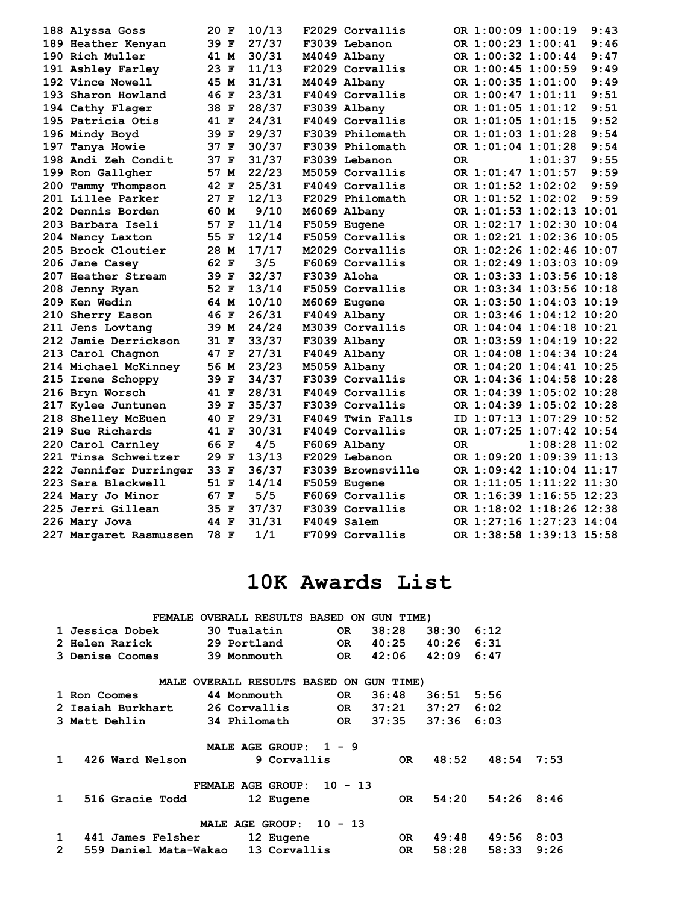| 188 Alyssa Goss          | 20 F | 10/13 | F2029 Corvallis   |    | OR 1:00:09 1:00:19 |                          | 9:43 |
|--------------------------|------|-------|-------------------|----|--------------------|--------------------------|------|
| 189 Heather Kenyan       | 39 F | 27/37 | F3039 Lebanon     |    | OR 1:00:23 1:00:41 |                          | 9:46 |
| 190 Rich Muller          | 41 M | 30/31 | M4049 Albany      |    | OR 1:00:32 1:00:44 |                          | 9:47 |
| 191 Ashley Farley        | 23 F | 11/13 | F2029 Corvallis   |    | OR 1:00:45 1:00:59 |                          | 9:49 |
| 192 Vince Nowell         | 45 M | 31/31 | M4049 Albany      |    | OR 1:00:35 1:01:00 |                          | 9:49 |
| 193 Sharon Howland       | 46 F | 23/31 | F4049 Corvallis   |    | OR 1:00:47 1:01:11 |                          | 9:51 |
| 194 Cathy Flager         | 38 F | 28/37 | F3039 Albany      |    | OR 1:01:05 1:01:12 |                          | 9:51 |
| 195 Patricia Otis        | 41 F | 24/31 | F4049 Corvallis   |    | OR 1:01:05 1:01:15 |                          | 9:52 |
| 196 Mindy Boyd           | 39 F | 29/37 | F3039 Philomath   |    | OR 1:01:03 1:01:28 |                          | 9:54 |
| 197 Tanya Howie          | 37 F | 30/37 | F3039 Philomath   |    | OR 1:01:04 1:01:28 |                          | 9:54 |
| 198 Andi Zeh Condit      | 37 F | 31/37 | F3039 Lebanon     | 0R |                    | 1:01:37                  | 9:55 |
| 199 Ron Gallgher         | 57 M | 22/23 | M5059 Corvallis   |    |                    | OR 1:01:47 1:01:57       | 9:59 |
| 200 Tammy Thompson       | 42 F | 25/31 | F4049 Corvallis   |    | OR 1:01:52 1:02:02 |                          | 9:59 |
| <b>201 Lillee Parker</b> | 27 F | 12/13 | F2029 Philomath   |    | OR 1:01:52 1:02:02 |                          | 9:59 |
| 202 Dennis Borden        | 60 M | 9/10  | M6069 Albany      |    |                    | OR 1:01:53 1:02:13 10:01 |      |
| 203 Barbara Iseli        | 57 F | 11/14 | F5059 Eugene      |    |                    | OR 1:02:17 1:02:30 10:04 |      |
| 204 Nancy Laxton         | 55 F | 12/14 | F5059 Corvallis   |    |                    | OR 1:02:21 1:02:36 10:05 |      |
| 205 Brock Cloutier       | 28 M | 17/17 | M2029 Corvallis   |    |                    | OR 1:02:26 1:02:46 10:07 |      |
| 206 Jane Casey           | 62 F | 3/5   | F6069 Corvallis   |    |                    | OR 1:02:49 1:03:03 10:09 |      |
| 207 Heather Stream       | 39 F | 32/37 | F3039 Aloha       |    |                    | OR 1:03:33 1:03:56 10:18 |      |
| 208 Jenny Ryan           | 52 F | 13/14 | F5059 Corvallis   |    |                    | OR 1:03:34 1:03:56 10:18 |      |
| 209 Ken Wedin            | 64 M | 10/10 | M6069 Eugene      |    |                    | OR 1:03:50 1:04:03 10:19 |      |
| 210 Sherry Eason         | 46 F | 26/31 | F4049 Albany      |    |                    | OR 1:03:46 1:04:12 10:20 |      |
| 211 Jens Lovtang         | 39 M | 24/24 | M3039 Corvallis   |    |                    | OR 1:04:04 1:04:18 10:21 |      |
| 212 Jamie Derrickson     | 31 F | 33/37 | F3039 Albany      |    |                    | OR 1:03:59 1:04:19 10:22 |      |
| 213 Carol Chagnon        | 47 F | 27/31 | F4049 Albany      |    |                    | OR 1:04:08 1:04:34 10:24 |      |
| 214 Michael McKinney     | 56 M | 23/23 | M5059 Albany      |    |                    | OR 1:04:20 1:04:41 10:25 |      |
| 215 Irene Schoppy        | 39 F | 34/37 | F3039 Corvallis   |    |                    | OR 1:04:36 1:04:58 10:28 |      |
| 216 Bryn Worsch          | 41 F | 28/31 | F4049 Corvallis   |    |                    | OR 1:04:39 1:05:02 10:28 |      |
| 217 Kylee Juntunen       | 39 F | 35/37 | F3039 Corvallis   |    |                    | OR 1:04:39 1:05:02 10:28 |      |
| 218 Shelley McEuen       | 40 F | 29/31 | F4049 Twin Falls  |    |                    | ID 1:07:13 1:07:29 10:52 |      |
| 219 Sue Richards         | 41 F | 30/31 | F4049 Corvallis   |    |                    | OR 1:07:25 1:07:42 10:54 |      |
| 220 Carol Carnley        | 66 F | 4/5   | F6069 Albany      | 0R |                    | $1:08:28$ $11:02$        |      |
| 221 Tinsa Schweitzer     | 29 F | 13/13 | F2029 Lebanon     |    |                    | OR 1:09:20 1:09:39 11:13 |      |
| 222 Jennifer Durringer   | 33 F | 36/37 | F3039 Brownsville |    |                    | OR 1:09:42 1:10:04 11:17 |      |
| 223 Sara Blackwell       | 51 F | 14/14 | F5059 Eugene      |    |                    | OR 1:11:05 1:11:22 11:30 |      |
| 224 Mary Jo Minor        | 67 F | 5/5   | F6069 Corvallis   |    |                    | OR 1:16:39 1:16:55 12:23 |      |
| 225 Jerri Gillean        | 35 F | 37/37 | F3039 Corvallis   |    |                    | OR 1:18:02 1:18:26 12:38 |      |
| 226 Mary Jova            | 44 F | 31/31 | F4049 Salem       |    |                    | OR 1:27:16 1:27:23 14:04 |      |
| 227 Margaret Rasmussen   | 78 F | 1/1   | F7099 Corvallis   |    |                    | OR 1:38:58 1:39:13 15:58 |      |

# **10K Awards List**

|                | <b>FEMALE</b>         |              | OVERALL RESULTS BASED ON |              |           | GUN TIME) |       |       |      |
|----------------|-----------------------|--------------|--------------------------|--------------|-----------|-----------|-------|-------|------|
|                | 1 Jessica Dobek       | 30 Tualatin  |                          |              | OR.       | 38:28     | 38:30 | 6:12  |      |
|                | 2 Helen Rarick        | 29 Portland  |                          |              | OR.       | 40:25     | 40:26 | 6:31  |      |
|                | 3 Denise Coomes       | 39 Monmouth  |                          |              | OR.       | 42:06     | 42:09 | 6:47  |      |
|                | MALE                  |              | OVERALL RESULTS BASED ON |              |           | GUN TIME) |       |       |      |
|                | 1 Ron Coomes          | 44 Monmouth  |                          |              | OR.       | 36:48     | 36:51 | 5:56  |      |
|                | 2 Isaiah Burkhart     | 26 Corvallis |                          |              | OR.       | 37:21     | 37:27 | 6:02  |      |
|                | 3 Matt Dehlin         | 34 Philomath |                          |              | OR.       | 37:35     | 37:36 | 6:03  |      |
|                |                       |              | MALE AGE GROUP:          | $\mathbf{1}$ | - 9       |           |       |       |      |
| $\mathbf{1}$   | 426 Ward Nelson       |              | 9 Corvallis              |              |           | OR.       | 48:52 | 48:54 | 7:53 |
|                |                       |              | <b>FEMALE AGE GROUP:</b> |              | $10 - 13$ |           |       |       |      |
| $\mathbf 1$    | 516 Gracie Todd       |              | 12 Eugene                |              |           | OR.       | 54:20 | 54:26 | 8:46 |
|                |                       |              | <b>MALE AGE GROUP:</b>   |              | $10 - 13$ |           |       |       |      |
| 1              | 441 James Felsher     |              | 12 Eugene                |              |           | OR.       | 49:48 | 49:56 | 8:03 |
| $\overline{2}$ | 559 Daniel Mata-Wakao |              | 13 Corvallis             |              |           | OR.       | 58:28 | 58:33 | 9:26 |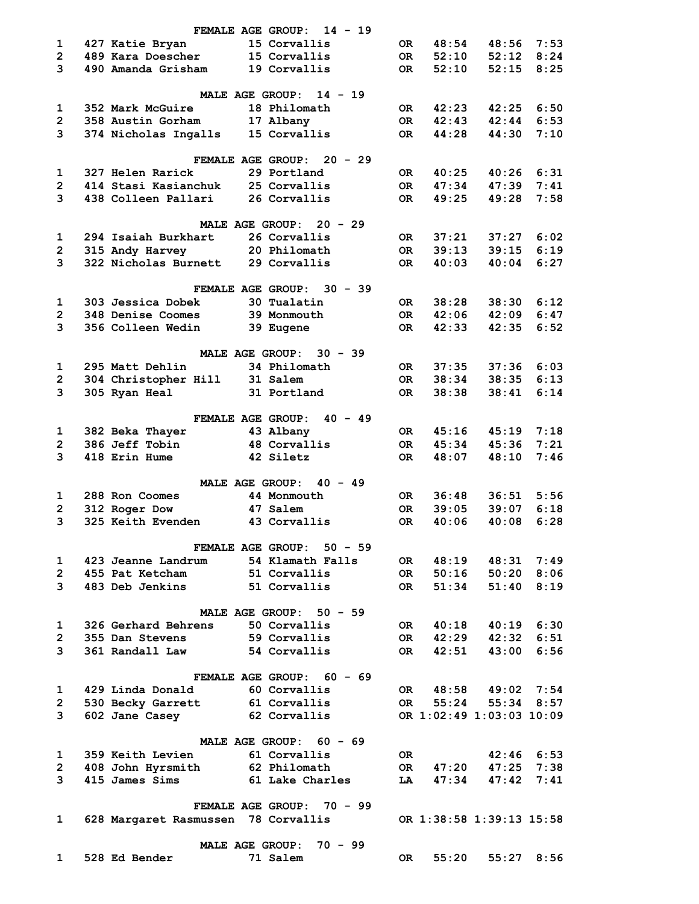|                         | FEMALE AGE GROUP:                   | $14 - 19$                                     |           |       |                          |                |
|-------------------------|-------------------------------------|-----------------------------------------------|-----------|-------|--------------------------|----------------|
| 1                       | 427 Katie Bryan                     | 15 Corvallis                                  | 0R.       | 48:54 | 48:56                    | 7:53           |
| $\overline{2}$          | 489 Kara Doescher                   | 15 Corvallis                                  | OR        | 52:10 | 52:12                    | 8:24           |
| 3                       | 490 Amanda Grisham                  | 19 Corvallis                                  | OR        | 52:10 | 52:15                    | 8:25           |
|                         |                                     |                                               |           |       |                          |                |
|                         |                                     | <b>MALE AGE GROUP:</b><br>$14 - 19$           |           |       |                          |                |
| 1                       | 352 Mark McGuire                    | 18 Philomath                                  | OR        | 42:23 | 42:25                    | 6:50           |
| $\overline{2}$          | 358 Austin Gorham                   | 17 Albany                                     | OR        | 42:43 | 42:44                    | 6:53           |
| 3                       | 374 Nicholas Ingalls                | 15 Corvallis                                  | 0R        | 44:28 | 44:30                    | 7:10           |
|                         |                                     | FEMALE AGE GROUP: 20 - 29                     |           |       |                          |                |
| 1                       | 327 Helen Rarick                    | 29 Portland                                   | OR        | 40:25 | 40:26                    | 6:31           |
| $\overline{2}$          | 414 Stasi Kasianchuk                | 25 Corvallis                                  | <b>OR</b> | 47:34 | 47:39                    | 7:41           |
| 3                       | 438 Colleen Pallari                 | 26 Corvallis                                  | OR        | 49:25 | 49:28                    | 7:58           |
|                         |                                     |                                               |           |       |                          |                |
|                         |                                     | MALE AGE GROUP: 20 - 29                       |           |       |                          |                |
| 1                       | 294 Isaiah Burkhart                 | 26 Corvallis                                  | OR        | 37:21 |                          | $37:27$ 6:02   |
| $\overline{2}$          | 315 Andy Harvey                     | 20 Philomath                                  | OR        | 39:13 | 39:15                    | 6:19           |
| 3                       | 322 Nicholas Burnett                | 29 Corvallis                                  | 0R        | 40:03 | 40:04                    | 6:27           |
|                         | FEMALE AGE GROUP:                   | $30 - 39$                                     |           |       |                          |                |
| 1                       | 303 Jessica Dobek                   | 30 Tualatin                                   | 0R.       | 38:28 | 38:30                    | 6:12           |
| $\overline{2}$          | 348 Denise Coomes                   | 39 Monmouth                                   | OR        | 42:06 | 42:09                    | 6:47           |
| 3                       | 356 Colleen Wedin                   | 39 Eugene                                     | 0R        | 42:33 | 42:35                    | 6:52           |
|                         |                                     |                                               |           |       |                          |                |
|                         |                                     | MALE AGE GROUP: 30 - 39                       |           |       |                          |                |
| 1                       | 295 Matt Dehlin                     | 34 Philomath                                  | OR .      | 37:35 | 37:36                    | 6:03           |
| $\overline{2}$          | 304 Christopher Hill                | 31 Salem                                      | OR        | 38:34 | 38:35                    | 6:13           |
| 3                       | 305 Ryan Heal                       | 31 Portland                                   | OR.       | 38:38 | 38:41                    | 6:14           |
|                         | <b>FEMALE AGE GROUP:</b>            | $40 - 49$                                     |           |       |                          |                |
| 1                       | 382 Beka Thayer                     | 43 Albany                                     | OR        | 45:16 |                          | $45:19$ 7:18   |
| $\overline{2}$          | 386 Jeff Tobin                      | 48 Corvallis                                  | OR        | 45:34 | 45:36                    | 7:21           |
| 3                       | 418 Erin Hume                       | 42 Siletz                                     | OR.       | 48:07 | 48:10                    | 7:46           |
|                         |                                     |                                               |           |       |                          |                |
|                         |                                     | $40 - 49$<br>MALE AGE GROUP:                  |           |       |                          |                |
| 1                       | 288 Ron Coomes                      | 44 Monmouth                                   | OR        | 36:48 | 36:51                    | 5:56           |
| $\overline{2}$          | 312 Roger Dow                       | 47 Salem                                      | 0R        | 39:05 | 39:07                    | 6:18           |
| 3                       | 325 Keith Evenden                   | 43 Corvallis                                  | OR.       | 40:06 | 40:08                    | 6:28           |
|                         |                                     |                                               |           |       |                          |                |
|                         | 423 Jeanne Landrum                  | FEMALE AGE GROUP: 50 - 59<br>54 Klamath Falls |           |       |                          |                |
| $\mathbf 1$             |                                     |                                               | OR        | 48:19 | 48:31                    | 7:49           |
| $\overline{2}$          | 455 Pat Ketcham                     | 51 Corvallis                                  | OR D      | 50:16 |                          | 50:20 8:06     |
| 3                       | 483 Deb Jenkins                     | 51 Corvallis                                  | OR D      | 51:34 |                          | 51:40 8:19     |
|                         |                                     | MALE AGE GROUP: 50 - 59                       |           |       |                          |                |
| 1                       | 326 Gerhard Behrens                 | 50 Corvallis                                  | OR DO     | 40:18 |                          | $40:19$ $6:30$ |
| $\mathbf{2}$            | 355 Dan Stevens                     | 59 Corvallis                                  | OR DO     | 42:29 | 42:32                    | 6:51           |
| 3                       | 361 Randall Law                     | 54 Corvallis                                  | OR        | 42:51 | 43:00                    | 6:56           |
|                         |                                     |                                               |           |       |                          |                |
|                         | FEMALE AGE GROUP:                   | 60 - 69                                       |           |       |                          |                |
| 1                       | 429 Linda Donald                    | 60 Corvallis                                  | OR        | 48:58 |                          | $49:02$ 7:54   |
| $\overline{2}$          | 530 Becky Garrett                   | 61 Corvallis                                  | OR D      | 55:24 |                          | 55:34 8:57     |
| 3                       | 602 Jane Casey                      | 62 Corvallis                                  |           |       | OR 1:02:49 1:03:03 10:09 |                |
|                         |                                     | MALE AGE GROUP: 60 - 69                       |           |       |                          |                |
| 1                       | 359 Keith Levien                    | 61 Corvallis                                  | OR        |       | $42:46$ 6:53             |                |
| $\overline{\mathbf{c}}$ | 408 John Hyrsmith                   | 62 Philomath                                  | OR DR     | 47:20 |                          | $47:25$ $7:38$ |
| 3                       | 415 James Sims                      | 61 Lake Charles                               | LA        | 47:34 | 47:42                    | 7:41           |
|                         |                                     |                                               |           |       |                          |                |
|                         |                                     | FEMALE AGE GROUP: 70 - 99                     |           |       |                          |                |
| 1                       | 628 Margaret Rasmussen 78 Corvallis |                                               |           |       | OR 1:38:58 1:39:13 15:58 |                |
|                         |                                     | <b>MALE AGE GROUP:</b><br>$70 - 99$           |           |       |                          |                |
| 1                       | 528 Ed Bender                       | 71 Salem                                      | OR        | 55:20 |                          | $55:27$ 8:56   |
|                         |                                     |                                               |           |       |                          |                |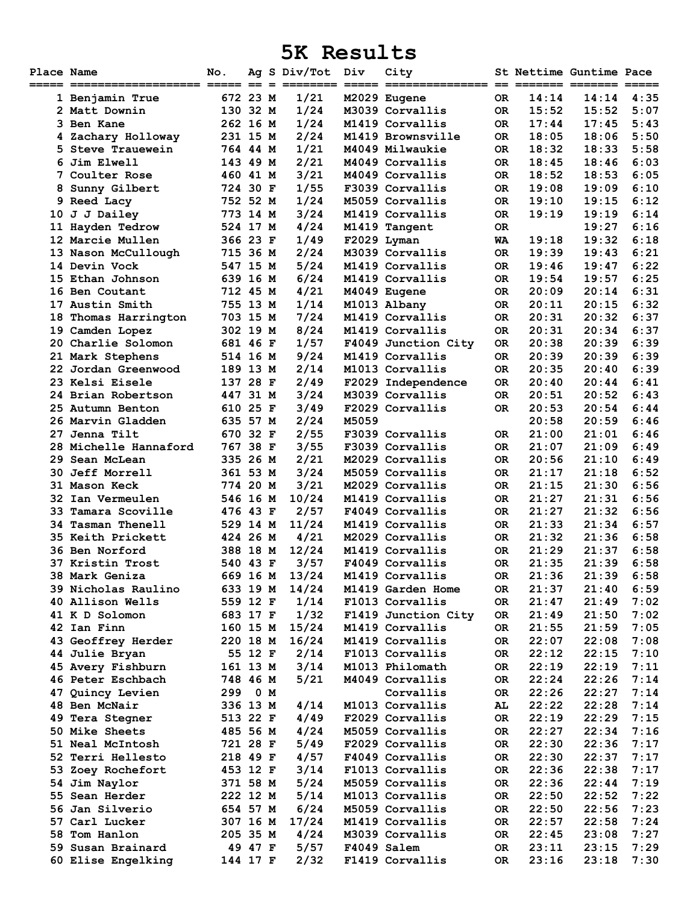### **5K Results**

| Place Name | ===== =================== ==== == =     | No.                  |         | Ag S Div/Tot Div<br>=== |       | City<br>=========== == ======= ======= == |            |                | St Nettime Guntime Pace | ===          |
|------------|-----------------------------------------|----------------------|---------|-------------------------|-------|-------------------------------------------|------------|----------------|-------------------------|--------------|
|            | 1 Benjamin True                         | 672 23 M             |         | 1/21                    |       | M2029 Eugene                              | OR.        | 14:14          | 14:14                   | 4:35         |
|            | 2 Matt Downin                           | 130 32 M             |         | 1/24                    |       | M3039 Corvallis                           | OR.        | 15:52          | 15:52                   | 5:07         |
|            | 3 Ben Kane                              | 262 16 M             |         | 1/24                    |       | M1419 Corvallis                           | OR.        | 17:44          | 17:45                   | 5:43         |
|            | 4 Zachary Holloway                      | 231 15 M             |         | 2/24                    |       | M1419 Brownsville                         | OR.        | 18:05          | 18:06                   | 5:50         |
| 5.         | Steve Trauewein                         | 764 44 M             |         | 1/21                    |       | M4049 Milwaukie                           | OR.        | 18:32          | 18:33                   | 5:58         |
|            | 6 Jim Elwell                            | 143 49 M             |         | 2/21                    |       | M4049 Corvallis                           | OR.        | 18:45          | 18:46                   | 6:03         |
|            | <b>7 Coulter Rose</b>                   | 460 41 M             |         | 3/21                    |       | M4049 Corvallis                           | OR.        | 18:52          | 18:53                   | 6:05         |
|            | 8 Sunny Gilbert                         | 724 30 F             |         | 1/55                    |       | F3039 Corvallis                           | OR.        | 19:08          | 19:09                   | 6:10         |
|            | 9 Reed Lacy                             | 752 52 M             |         | 1/24                    |       | M5059 Corvallis                           | 0R         | 19:10          | 19:15                   | 6:12         |
|            | 10 J J Dailey                           | 773 14 M             |         | 3/24                    |       | M1419 Corvallis                           | OR.        | 19:19          | 19:19                   | 6:14         |
|            | 11 Hayden Tedrow                        | 524 17 M             |         | 4/24                    |       | M1419 Tangent                             | OR.        |                | 19:27                   | 6:16         |
|            | 12 Marcie Mullen                        | 366 23 F             |         | 1/49                    |       | F2029 Lyman                               | WA         | 19:18          | 19:32                   | 6:18         |
|            | 13 Nason McCullough                     | 715 36 M             |         | 2/24                    |       | M3039 Corvallis                           | OR.        | 19:39          | 19:43                   | 6:21         |
|            | 14 Devin Vock                           | 547 15 M             |         | 5/24                    |       | M1419 Corvallis                           | OR.        | 19:46          | 19:47                   | 6:22         |
|            | 15 Ethan Johnson                        | 639 16 M             |         | 6/24                    |       | M1419 Corvallis                           | OR.        | 19:54          | 19:57                   | 6:25         |
|            | 16 Ben Coutant                          | 712 45 M             |         | 4/21                    |       | M4049 Eugene                              | OR.        | 20:09          | 20:14                   | 6:31         |
|            | 17 Austin Smith                         | 755 13 M             |         | 1/14                    |       | M1013 Albany                              | OR.        | 20:11          | 20:15                   | 6:32         |
| 18         | Thomas Harrington                       | 703 15 M             |         | 7/24                    |       | M1419 Corvallis                           | OR.        | 20:31          | 20:32<br>20:34          | 6:37         |
|            | 19 Camden Lopez                         | 302 19 M             |         | 8/24                    |       | M1419 Corvallis                           | OR.        | 20:31          |                         | 6:37         |
|            | 20 Charlie Solomon                      | 681 46 F             |         | 1/57<br>9/24            |       | F4049 Junction City<br>M1419 Corvallis    | OR.<br>OR. | 20:38<br>20:39 | 20:39<br>20:39          | 6:39<br>6:39 |
|            | 21 Mark Stephens<br>22 Jordan Greenwood | 514 16 M<br>189 13 M |         | 2/14                    |       | M1013 Corvallis                           | OR.        | 20:35          | 20:40                   | 6:39         |
|            | 23 Kelsi Eisele                         | 137 28 F             |         | 2/49                    |       | F2029 Independence                        | OR.        | 20:40          | 20:44                   | 6:41         |
|            | 24 Brian Robertson                      | 447 31 M             |         | 3/24                    |       | M3039 Corvallis                           | OR.        | 20:51          | 20:52                   | 6:43         |
|            | 25 Autumn Benton                        | 610 25 F             |         | 3/49                    |       | F2029 Corvallis                           | OR.        | 20:53          | 20:54                   | 6:44         |
|            | 26 Marvin Gladden                       | 635 57 M             |         | 2/24                    | M5059 |                                           |            | 20:58          | 20:59                   | 6:46         |
| 27         | Jenna Tilt                              | 670 32 F             |         | 2/55                    |       | F3039 Corvallis                           | OR.        | 21:00          | 21:01                   | 6:46         |
|            | 28 Michelle Hannaford                   | 767 38 F             |         | 3/55                    |       | F3039 Corvallis                           | 0R         | 21:07          | 21:09                   | 6:49         |
| 29.        | Sean McLean                             | 335 26 M             |         | 2/21                    |       | M2029 Corvallis                           | OR.        | 20:56          | 21:10                   | 6:49         |
| 30.        | <b>Jeff Morrell</b>                     | 361 53 M             |         | 3/24                    |       | M5059 Corvallis                           | OR.        | 21:17          | 21:18                   | 6:52         |
|            | <b>31 Mason Keck</b>                    | 774 20 M             |         | 3/21                    |       | M2029 Corvallis                           | OR.        | 21:15          | 21:30                   | 6:56         |
| 32         | Ian Vermeulen                           | 546 16 M             |         | 10/24                   |       | M1419 Corvallis                           | OR.        | 21:27          | 21:31                   | 6:56         |
| 33         | Tamara Scoville                         | 476 43 F             |         | 2/57                    |       | F4049 Corvallis                           | OR.        | 21:27          | 21:32                   | 6:56         |
| 34         | <b>Tasman Thenell</b>                   | 529 14 M             |         | 11/24                   |       | M1419 Corvallis                           | OR.        | 21:33          | 21:34                   | 6:57         |
|            | 35 Keith Prickett                       | 424 26 M             |         | 4/21                    |       | M2029 Corvallis                           | OR.        | 21:32          | 21:36                   | 6:58         |
|            | <b>36 Ben Norford</b>                   | 388 18 M             |         | 12/24                   |       | M1419 Corvallis                           | 0R         | 21:29          | 21:37                   | 6:58         |
|            | <b>37 Kristin Trost</b>                 | 540 43 F             |         | 3/57                    |       | F4049 Corvallis                           | OR.        | 21:35          | 21:39                   | 6:58         |
|            | 38 Mark Geniza                          |                      |         | 669 16 M 13/24          |       | M1419 Corvallis                           | 0R         | 21:36          | 21:39                   | 6:58         |
|            | 39 Nicholas Raulino                     | 633 19 M             |         | 14/24                   |       | M1419 Garden Home                         | 0R         | 21:37          | 21:40                   | 6:59         |
|            | 40 Allison Wells                        | 559 12 F             |         | 1/14                    |       | F1013 Corvallis                           | OR.        | 21:47          | 21:49                   | 7:02         |
|            | 41 K D Solomon                          | 683 17 F             |         | 1/32                    |       | F1419 Junction City                       | OR.        | 21:49          | 21:50                   | 7:02         |
|            | 42 Ian Finn                             | 160 15 M             |         | 15/24                   |       | M1419 Corvallis                           | OR.        | 21:55          | 21:59                   | 7:05         |
|            | 43 Geoffrey Herder                      | 220 18 M             |         | 16/24                   |       | M1419 Corvallis                           | OR.        | 22:07          | 22:08                   | 7:08         |
|            | 44 Julie Bryan                          |                      | 55 12 F | 2/14                    |       | F1013 Corvallis<br>M1013 Philomath        | OR.        | 22:12          | 22:15<br>22:19          | 7:10         |
|            | 45 Avery Fishburn<br>46 Peter Eschbach  | 161 13 M<br>748 46 M |         | 3/14<br>5/21            |       | M4049 Corvallis                           | OR.<br>OR. | 22:19<br>22:24 | 22:26                   | 7:11<br>7:14 |
|            | 47 Quincy Levien                        | 299                  | 0 M     |                         |       | Corvallis                                 | OR.        | 22:26          | 22:27                   | 7:14         |
|            | 48 Ben McNair                           | 336 13 M             |         | 4/14                    |       | M1013 Corvallis                           | AL         | 22:22          | 22:28                   | 7:14         |
|            | 49 Tera Stegner                         | 513 22 F             |         | 4/49                    |       | F2029 Corvallis                           | <b>OR</b>  | 22:19          | 22:29                   | 7:15         |
|            | 50 Mike Sheets                          | 485 56 M             |         | 4/24                    |       | M5059 Corvallis                           | OR.        | 22:27          | 22:34                   | 7:16         |
|            | 51 Neal McIntosh                        | 721 28 F             |         | 5/49                    |       | F2029 Corvallis                           | OR.        | 22:30          | 22:36                   | 7:17         |
|            | <b>52 Terri Hellesto</b>                | 218 49 F             |         | 4/57                    |       | F4049 Corvallis                           | OR.        | 22:30          | 22:37                   | 7:17         |
|            | 53 Zoey Rochefort                       | 453 12 F             |         | 3/14                    |       | F1013 Corvallis                           | OR.        | 22:36          | 22:38                   | 7:17         |
|            | 54 Jim Naylor                           | 371 58 M             |         | 5/24                    |       | M5059 Corvallis                           | 0R         | 22:36          | 22:44                   | 7:19         |
|            | 55 Sean Herder                          | 222 12 M             |         | 5/14                    |       | M1013 Corvallis                           | OR.        | 22:50          | 22:52                   | 7:22         |
|            | 56 Jan Silverio                         | 654 57 M             |         | 6/24                    |       | M5059 Corvallis                           | OR.        | 22:50          | 22:56                   | 7:23         |
|            | 57 Carl Lucker                          | 307 16 M             |         | 17/24                   |       | M1419 Corvallis                           | OR.        | 22:57          | 22:58                   | 7:24         |
|            | 58 Tom Hanlon                           | 205 35 M             |         | 4/24                    |       | M3039 Corvallis                           | OR.        | 22:45          | 23:08                   | 7:27         |
|            | 59 Susan Brainard                       |                      | 49 47 F | $5/57$                  |       | F4049 Salem                               | OR.        | 23:11          | 23:15                   | 7:29         |
|            | 60 Elise Engelking                      | 144 17 F             |         | 2/32                    |       | F1419 Corvallis                           | OR         | 23:16          | 23:18                   | 7:30         |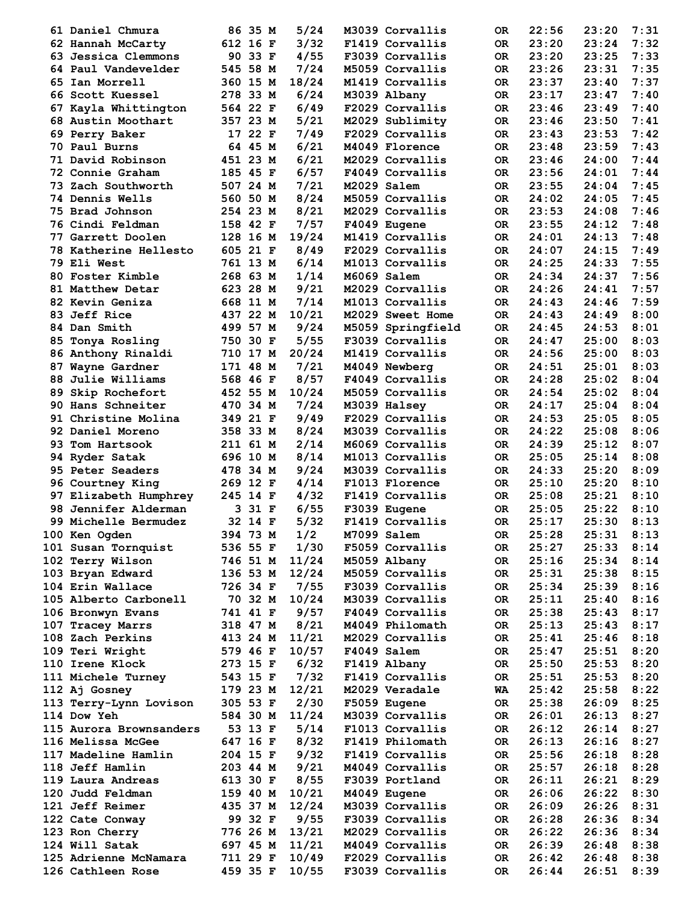| 61 Daniel Chmura        | 86 35 M  | 5/24  | M3039 Corvallis   | 0R        | 22:56 | 23:20 | 7:31 |
|-------------------------|----------|-------|-------------------|-----------|-------|-------|------|
| 62 Hannah McCarty       | 612 16 F | 3/32  | F1419 Corvallis   | OR.       | 23:20 | 23:24 | 7:32 |
| 63 Jessica Clemmons     | 90 33 F  | 4/55  | F3039 Corvallis   | OR.       | 23:20 | 23:25 | 7:33 |
| 64 Paul Vandevelder     | 545 58 M | 7/24  | M5059 Corvallis   | OR.       | 23:26 | 23:31 | 7:35 |
| 65 Ian Morrell          | 360 15 M | 18/24 | M1419 Corvallis   | OR.       | 23:37 | 23:40 | 7:37 |
|                         | 278 33 M |       |                   |           |       |       | 7:40 |
| 66 Scott Kuessel        |          | 6/24  | M3039 Albany      | OR.       | 23:17 | 23:47 |      |
| 67 Kayla Whittington    | 564 22 F | 6/49  | F2029 Corvallis   | OR.       | 23:46 | 23:49 | 7:40 |
| 68 Austin Moothart      | 357 23 M | 5/21  | M2029 Sublimity   | OR.       | 23:46 | 23:50 | 7:41 |
| 69 Perry Baker          | 17 22 F  | 7/49  | F2029 Corvallis   | OR.       | 23:43 | 23:53 | 7:42 |
| 70 Paul Burns           | 64 45 M  | 6/21  | M4049 Florence    | OR.       | 23:48 | 23:59 | 7:43 |
| 71 David Robinson       | 451 23 M | 6/21  | M2029 Corvallis   | OR.       | 23:46 | 24:00 | 7:44 |
| 72 Connie Graham        | 185 45 F | 6/57  | F4049 Corvallis   | OR.       | 23:56 | 24:01 | 7:44 |
| 73 Zach Southworth      | 507 24 M | 7/21  | M2029 Salem       | OR.       | 23:55 | 24:04 | 7:45 |
| <b>74 Dennis Wells</b>  | 560 50 M | 8/24  | M5059 Corvallis   | OR.       | 24:02 | 24:05 | 7:45 |
| 75 Brad Johnson         | 254 23 M | 8/21  | M2029 Corvallis   | OR.       | 23:53 | 24:08 | 7:46 |
|                         |          |       |                   |           |       |       |      |
| 76 Cindi Feldman        | 158 42 F | 7/57  | F4049 Eugene      | OR.       | 23:55 | 24:12 | 7:48 |
| 77 Garrett Doolen       | 128 16 M | 19/24 | M1419 Corvallis   | OR.       | 24:01 | 24:13 | 7:48 |
| 78 Katherine Hellesto   | 605 21 F | 8/49  | F2029 Corvallis   | OR.       | 24:07 | 24:15 | 7:49 |
| <b>79 Eli West</b>      | 761 13 M | 6/14  | M1013 Corvallis   | OR.       | 24:25 | 24:33 | 7:55 |
| <b>80 Foster Kimble</b> | 268 63 M | 1/14  | M6069 Salem       | OR.       | 24:34 | 24:37 | 7:56 |
| 81 Matthew Detar        | 623 28 M | 9/21  | M2029 Corvallis   | OR.       | 24:26 | 24:41 | 7:57 |
| 82 Kevin Geniza         | 668 11 M | 7/14  | M1013 Corvallis   | OR.       | 24:43 | 24:46 | 7:59 |
| 83 Jeff Rice            | 437 22 M | 10/21 | M2029 Sweet Home  | OR.       | 24:43 | 24:49 | 8:00 |
| 84 Dan Smith            | 499 57 M | 9/24  | M5059 Springfield | OR.       | 24:45 | 24:53 | 8:01 |
|                         |          |       |                   |           | 24:47 |       | 8:03 |
| 85 Tonya Rosling        | 750 30 F | 5/55  | F3039 Corvallis   | OR.       |       | 25:00 |      |
| 86 Anthony Rinaldi      | 710 17 M | 20/24 | M1419 Corvallis   | OR.       | 24:56 | 25:00 | 8:03 |
| 87 Wayne Gardner        | 171 48 M | 7/21  | M4049 Newberg     | OR.       | 24:51 | 25:01 | 8:03 |
| 88 Julie Williams       | 568 46 F | 8/57  | F4049 Corvallis   | OR.       | 24:28 | 25:02 | 8:04 |
| 89 Skip Rochefort       | 452 55 M | 10/24 | M5059 Corvallis   | OR.       | 24:54 | 25:02 | 8:04 |
| 90 Hans Schneiter       | 470 34 M | 7/24  | M3039 Halsey      | OR.       | 24:17 | 25:04 | 8:04 |
| 91 Christine Molina     | 349 21 F | 9/49  | F2029 Corvallis   | OR.       | 24:53 | 25:05 | 8:05 |
| 92 Daniel Moreno        | 358 33 M | 8/24  | M3039 Corvallis   | OR.       | 24:22 | 25:08 | 8:06 |
| 93 Tom Hartsook         | 211 61 M | 2/14  | M6069 Corvallis   | OR.       | 24:39 | 25:12 | 8:07 |
| 94 Ryder Satak          | 696 10 M | 8/14  | M1013 Corvallis   | OR.       | 25:05 | 25:14 | 8:08 |
| 95 Peter Seaders        | 478 34 M | 9/24  | M3039 Corvallis   | OR.       | 24:33 | 25:20 | 8:09 |
|                         |          |       |                   |           |       | 25:20 |      |
| 96 Courtney King        | 269 12 F | 4/14  | F1013 Florence    | OR.       | 25:10 |       | 8:10 |
| 97 Elizabeth Humphrey   | 245 14 F | 4/32  | F1419 Corvallis   | OR.       | 25:08 | 25:21 | 8:10 |
| 98 Jennifer Alderman    | 3 31 F   | 6/55  | F3039 Eugene      | OR.       | 25:05 | 25:22 | 8:10 |
| 99 Michelle Bermudez    | 32 14 F  | 5/32  | F1419 Corvallis   | <b>OR</b> | 25:17 | 25:30 | 8:13 |
| 100 Ken Ogden           | 394 73 M | 1/2   | M7099 Salem       | OR        | 25:28 | 25:31 | 8:13 |
| 101 Susan Tornquist     | 536 55 F | 1/30  | F5059 Corvallis   | OR.       | 25:27 | 25:33 | 8:14 |
| 102 Terry Wilson        | 746 51 M | 11/24 | M5059 Albany      | OR.       | 25:16 | 25:34 | 8:14 |
| 103 Bryan Edward        | 136 53 M | 12/24 | M5059 Corvallis   | OR.       | 25:31 | 25:38 | 8:15 |
| 104 Erin Wallace        | 726 34 F | 7/55  | F3039 Corvallis   | OR.       | 25:34 | 25:39 | 8:16 |
| 105 Alberto Carbonell   | 70 32 M  | 10/24 | M3039 Corvallis   | OR.       | 25:11 | 25:40 | 8:16 |
| 106 Bronwyn Evans       | 741 41 F | 9/57  | F4049 Corvallis   | OR.       | 25:38 | 25:43 | 8:17 |
|                         |          |       |                   |           |       |       |      |
| 107 Tracey Marrs        | 318 47 M | 8/21  | M4049 Philomath   | OR.       | 25:13 | 25:43 | 8:17 |
| 108 Zach Perkins        | 413 24 M | 11/21 | M2029 Corvallis   | OR.       | 25:41 | 25:46 | 8:18 |
| 109 Teri Wright         | 579 46 F | 10/57 | F4049 Salem       | OR.       | 25:47 | 25:51 | 8:20 |
| 110 Irene Klock         | 273 15 F | 6/32  | F1419 Albany      | OR.       | 25:50 | 25:53 | 8:20 |
| 111 Michele Turney      | 543 15 F | 7/32  | F1419 Corvallis   | OR.       | 25:51 | 25:53 | 8:20 |
| 112 Aj Gosney           | 179 23 M | 12/21 | M2029 Veradale    | WA        | 25:42 | 25:58 | 8:22 |
| 113 Terry-Lynn Lovison  | 305 53 F | 2/30  | F5059 Eugene      | OR.       | 25:38 | 26:09 | 8:25 |
| 114 Dow Yeh             | 584 30 M | 11/24 | M3039 Corvallis   | OR.       | 26:01 | 26:13 | 8:27 |
| 115 Aurora Brownsanders | 53 13 F  | 5/14  | F1013 Corvallis   | <b>OR</b> | 26:12 | 26:14 | 8:27 |
|                         |          | 8/32  |                   |           |       |       |      |
| 116 Melissa McGee       | 647 16 F |       | F1419 Philomath   | OR.       | 26:13 | 26:16 | 8:27 |
| 117 Madeline Hamlin     | 204 15 F | 9/32  | F1419 Corvallis   | OR        | 25:56 | 26:18 | 8:28 |
| 118 Jeff Hamlin         | 203 44 M | 9/21  | M4049 Corvallis   | OR.       | 25:57 | 26:18 | 8:28 |
| 119 Laura Andreas       | 613 30 F | 8/55  | F3039 Portland    | OR.       | 26:11 | 26:21 | 8:29 |
| 120 Judd Feldman        | 159 40 M | 10/21 | M4049 Eugene      | OR.       | 26:06 | 26:22 | 8:30 |
| 121 Jeff Reimer         | 435 37 M | 12/24 | M3039 Corvallis   | OR.       | 26:09 | 26:26 | 8:31 |
| 122 Cate Conway         | 99 32 F  | 9/55  | F3039 Corvallis   | OR.       | 26:28 | 26:36 | 8:34 |
| 123 Ron Cherry          | 776 26 M | 13/21 | M2029 Corvallis   | OR.       | 26:22 | 26:36 | 8:34 |
| 124 Will Satak          | 697 45 M | 11/21 | M4049 Corvallis   | <b>OR</b> | 26:39 | 26:48 | 8:38 |
| 125 Adrienne McNamara   | 711 29 F | 10/49 | F2029 Corvallis   | OR.       | 26:42 | 26:48 | 8:38 |
|                         | 459 35 F | 10/55 | F3039 Corvallis   | OR.       | 26:44 | 26:51 | 8:39 |
| 126 Cathleen Rose       |          |       |                   |           |       |       |      |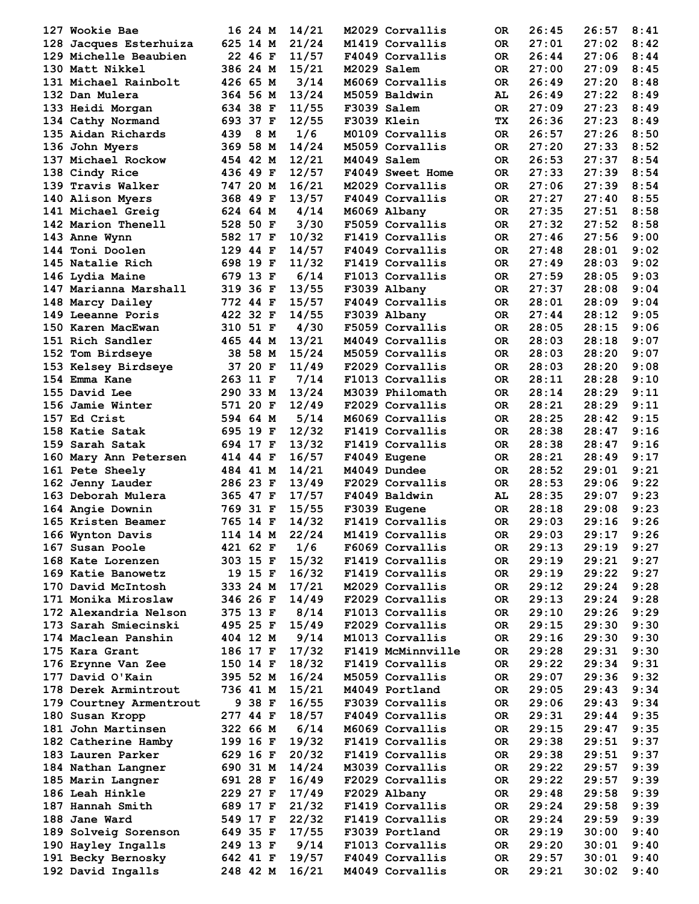| 127 Wookie Bae          | 16 24 M    | 14/21 |             | M2029 Corvallis   | 0R        | 26:45 | 26:57          | 8:41 |
|-------------------------|------------|-------|-------------|-------------------|-----------|-------|----------------|------|
|                         |            |       |             |                   |           |       |                |      |
| 128 Jacques Esterhuiza  | 625 14 M   | 21/24 |             | M1419 Corvallis   | OR.       | 27:01 | 27:02          | 8:42 |
| 129 Michelle Beaubien   | 22 46 F    | 11/57 |             | F4049 Corvallis   | OR.       | 26:44 | 27:06          | 8:44 |
| 130 Matt Nikkel         | 386 24 M   | 15/21 | M2029 Salem |                   | OR.       | 27:00 | 27:09          | 8:45 |
| 131 Michael Rainbolt    | 426 65 M   | 3/14  |             | M6069 Corvallis   | OR.       | 26:49 | 27:20          | 8:48 |
| 132 Dan Mulera          | 364 56 M   | 13/24 |             | M5059 Baldwin     | AL        | 26:49 | 27:22          | 8:49 |
| 133 Heidi Morgan        | 634 38 F   | 11/55 |             | F3039 Salem       | OR.       | 27:09 | 27:23          | 8:49 |
| 134 Cathy Normand       | 693 37 F   | 12/55 |             | F3039 Klein       | TX.       | 26:36 | 27:23          | 8:49 |
| 135 Aidan Richards      | 8 M<br>439 | 1/6   |             | M0109 Corvallis   | 0R        | 26:57 | 27:26          | 8:50 |
|                         |            |       |             |                   |           |       |                |      |
| 136 John Myers          | 369 58 M   | 14/24 |             | M5059 Corvallis   | 0R        | 27:20 | 27:33          | 8:52 |
| 137 Michael Rockow      | 454 42 M   | 12/21 | M4049 Salem |                   | OR.       | 26:53 | 27:37          | 8:54 |
| 138 Cindy Rice          | 436 49 F   | 12/57 |             | F4049 Sweet Home  | OR.       | 27:33 | 27:39          | 8:54 |
| 139 Travis Walker       | 747 20 M   | 16/21 |             | M2029 Corvallis   | OR.       | 27:06 | 27:39          | 8:54 |
| 140 Alison Myers        | 368 49 F   | 13/57 |             | F4049 Corvallis   | OR.       | 27:27 | 27:40          | 8:55 |
| 141 Michael Greig       | 624 64 M   | 4/14  |             | M6069 Albany      | OR.       | 27:35 | 27:51          | 8:58 |
| 142 Marion Thenell      | 528 50 F   | 3/30  |             | F5059 Corvallis   | OR.       | 27:32 | 27:52          | 8:58 |
|                         |            |       |             |                   |           |       |                |      |
| 143 Anne Wynn           | 582 17 F   | 10/32 |             | F1419 Corvallis   | OR.       | 27:46 | 27:56          | 9:00 |
| 144 Toni Doolen         | 129 44 F   | 14/57 |             | F4049 Corvallis   | OR.       | 27:48 | 28:01          | 9:02 |
| 145 Natalie Rich        | 698 19 F   | 11/32 |             | F1419 Corvallis   | OR.       | 27:49 | 28:03          | 9:02 |
| 146 Lydia Maine         | 679 13 F   | 6/14  |             | F1013 Corvallis   | OR.       | 27:59 | 28:05          | 9:03 |
| 147 Marianna Marshall   | 319 36 F   | 13/55 |             | F3039 Albany      | OR.       | 27:37 | 28:08          | 9:04 |
| 148 Marcy Dailey        | 772 44 F   | 15/57 |             | F4049 Corvallis   | OR.       | 28:01 | 28:09          | 9:04 |
| 149 Leeanne Poris       | 422 32 F   | 14/55 |             | F3039 Albany      | OR.       | 27:44 | 28:12          | 9:05 |
|                         |            |       |             |                   |           |       |                |      |
| 150 Karen MacEwan       | 310 51 F   | 4/30  |             | F5059 Corvallis   | OR.       | 28:05 | 28:15          | 9:06 |
| 151 Rich Sandler        | 465 44 M   | 13/21 |             | M4049 Corvallis   | OR.       | 28:03 | 28:18          | 9:07 |
| 152 Tom Birdseye        | 38 58 M    | 15/24 |             | M5059 Corvallis   | OR.       | 28:03 | 28:20          | 9:07 |
| 153 Kelsey Birdseye     | 37 20 F    | 11/49 |             | F2029 Corvallis   | OR.       | 28:03 | 28:20          | 9:08 |
| 154 Emma Kane           | 263 11 F   | 7/14  |             | F1013 Corvallis   | OR.       | 28:11 | 28:28          | 9:10 |
| 155 David Lee           | 290 33 M   | 13/24 |             | M3039 Philomath   | OR.       | 28:14 | 28:29          | 9:11 |
|                         |            |       |             |                   |           |       |                |      |
| 156 Jamie Winter        | 571 20 F   | 12/49 |             | F2029 Corvallis   | OR.       | 28:21 | 28:29          | 9:11 |
| 157 Ed Crist            | 594 64 M   | 5/14  |             | M6069 Corvallis   | OR.       | 28:25 | 28:42          | 9:15 |
| 158 Katie Satak         | 695 19 F   | 12/32 |             | F1419 Corvallis   | OR.       | 28:38 | 28:47          | 9:16 |
| 159 Sarah Satak         | 694 17 F   | 13/32 |             | F1419 Corvallis   | OR.       | 28:38 | 28:47          | 9:16 |
| 160 Mary Ann Petersen   | 414 44 F   | 16/57 |             | F4049 Eugene      | OR.       | 28:21 | 28:49          | 9:17 |
| 161 Pete Sheely         | 484 41 M   | 14/21 |             | M4049 Dundee      | OR.       | 28:52 | 29:01          | 9:21 |
| 162 Jenny Lauder        | 286 23 F   | 13/49 |             | F2029 Corvallis   | OR.       | 28:53 | 29:06          | 9:22 |
|                         |            |       |             |                   |           |       |                |      |
| 163 Deborah Mulera      | 365 47 F   | 17/57 |             | F4049 Baldwin     | AL        | 28:35 | 29:07          | 9:23 |
| 164 Angie Downin        | 769 31 F   | 15/55 |             | F3039 Eugene      | OR.       | 28:18 | 29:08          | 9:23 |
| 165 Kristen Beamer      | 765 14 F   | 14/32 |             | F1419 Corvallis   | OR.       | 29:03 | 29:16          | 9:26 |
| 166 Wynton Davis        | 114 14 M   | 22/24 |             | M1419 Corvallis   | OR        | 29:03 | $29:17$ $9:26$ |      |
| 167 Susan Poole         | 421 62 F   | 1/6   |             | F6069 Corvallis   | OR.       | 29:13 | 29:19          | 9:27 |
| 168 Kate Lorenzen       | 303 15 F   | 15/32 |             | F1419 Corvallis   | OR.       | 29:19 | 29:21          | 9:27 |
| 169 Katie Banowetz      | 19 15 F    | 16/32 |             | F1419 Corvallis   | OR.       | 29:19 | 29:22          | 9:27 |
|                         |            | 17/21 |             |                   |           |       |                | 9:28 |
| 170 David McIntosh      | 333 24 M   |       |             | M2029 Corvallis   | OR.       | 29:12 | 29:24          |      |
| 171 Monika Miroslaw     | 346 26 F   | 14/49 |             | F2029 Corvallis   | OR.       | 29:13 | 29:24          | 9:28 |
| 172 Alexandria Nelson   | 375 13 F   | 8/14  |             | F1013 Corvallis   | OR.       | 29:10 | 29:26          | 9:29 |
| 173 Sarah Smiecinski    | 495 25 F   | 15/49 |             | F2029 Corvallis   | <b>OR</b> | 29:15 | 29:30          | 9:30 |
| 174 Maclean Panshin     | 404 12 M   | 9/14  |             | M1013 Corvallis   | OR.       | 29:16 | 29:30          | 9:30 |
| 175 Kara Grant          | 186 17 F   | 17/32 |             | F1419 McMinnville | OR.       | 29:28 | 29:31          | 9:30 |
| 176 Erynne Van Zee      | 150 14 F   | 18/32 |             | F1419 Corvallis   | OR.       | 29:22 | 29:34          | 9:31 |
|                         |            | 16/24 |             |                   |           |       |                |      |
| 177 David O'Kain        | 395 52 M   |       |             | M5059 Corvallis   | OR.       | 29:07 | 29:36          | 9:32 |
| 178 Derek Armintrout    | 736 41 M   | 15/21 |             | M4049 Portland    | OR.       | 29:05 | 29:43          | 9:34 |
| 179 Courtney Armentrout | 9 38 F     | 16/55 |             | F3039 Corvallis   | OR.       | 29:06 | 29:43          | 9:34 |
| 180 Susan Kropp         | 277 44 F   | 18/57 |             | F4049 Corvallis   | OR.       | 29:31 | 29:44          | 9:35 |
| 181 John Martinsen      | 322 66 M   | 6/14  |             | M6069 Corvallis   | OR.       | 29:15 | 29:47          | 9:35 |
| 182 Catherine Hamby     | 199 16 F   | 19/32 |             | F1419 Corvallis   | OR.       | 29:38 | 29:51          | 9:37 |
| 183 Lauren Parker       | 629 16 F   | 20/32 |             | F1419 Corvallis   | OR.       | 29:38 | 29:51          | 9:37 |
|                         |            |       |             |                   |           |       |                |      |
| 184 Nathan Langner      | 690 31 M   | 14/24 |             | M3039 Corvallis   | OR.       | 29:22 | 29:57          | 9:39 |
| 185 Marin Langner       | 691 28 F   | 16/49 |             | F2029 Corvallis   | OR.       | 29:22 | 29:57          | 9:39 |
| 186 Leah Hinkle         | 229 27 F   | 17/49 |             | F2029 Albany      | OR.       | 29:48 | 29:58          | 9:39 |
| 187 Hannah Smith        | 689 17 F   | 21/32 |             | F1419 Corvallis   | OR.       | 29:24 | 29:58          | 9:39 |
| 188 Jane Ward           | 549 17 F   | 22/32 |             | F1419 Corvallis   | OR.       | 29:24 | 29:59          | 9:39 |
| 189 Solveig Sorenson    | 649 35 F   | 17/55 |             | F3039 Portland    | OR.       | 29:19 | 30:00          | 9:40 |
| 190 Hayley Ingalls      | 249 13 F   | 9/14  |             | F1013 Corvallis   | OR.       | 29:20 | 30:01          | 9:40 |
|                         |            |       |             |                   |           |       |                |      |
| 191 Becky Bernosky      | 642 41 F   | 19/57 |             | F4049 Corvallis   | OR        | 29:57 | 30:01          | 9:40 |
| 192 David Ingalls       | 248 42 M   | 16/21 |             | M4049 Corvallis   | OR        | 29:21 | 30:02          | 9:40 |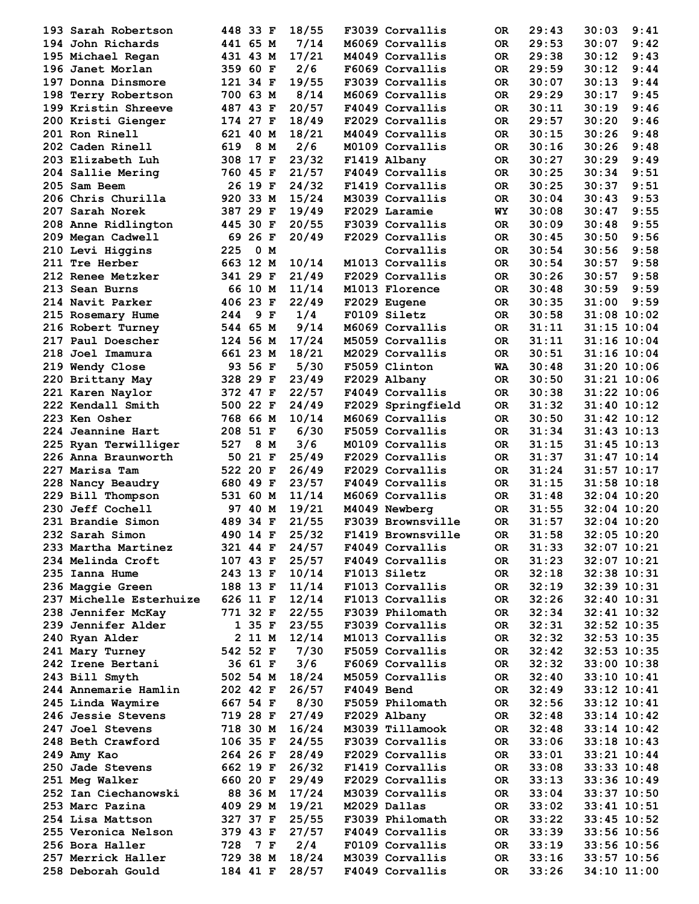| 193 Sarah Robertson     | 448 33 F   | 18/55 |            | F3039 Corvallis   | 0R        | 29:43 | 30:03           | 9:41 |
|-------------------------|------------|-------|------------|-------------------|-----------|-------|-----------------|------|
| 194 John Richards       | 441 65 M   | 7/14  |            | M6069 Corvallis   | OR.       | 29:53 | 30:07           | 9:42 |
| 195 Michael Regan       | 431 43 M   | 17/21 |            | M4049 Corvallis   | OR.       | 29:38 | 30:12           | 9:43 |
| 196 Janet Morlan        | 359 60 F   | 2/6   |            | F6069 Corvallis   | OR.       | 29:59 | 30:12           | 9:44 |
| 197 Donna Dinsmore      | 121 34 F   | 19/55 |            | F3039 Corvallis   | OR.       | 30:07 | 30:13           | 9:44 |
| 198 Terry Robertson     | 700 63 M   | 8/14  |            | M6069 Corvallis   | OR.       | 29:29 | 30:17           | 9:45 |
| 199 Kristin Shreeve     | 487 43 F   | 20/57 |            | F4049 Corvallis   | OR.       | 30:11 | 30:19           | 9:46 |
| 200 Kristi Gienger      | 174 27 F   | 18/49 |            | F2029 Corvallis   | OR.       | 29:57 | 30:20           | 9:46 |
| 201 Ron Rinell          | 621 40 M   | 18/21 |            | M4049 Corvallis   | OR.       | 30:15 | 30:26           | 9:48 |
| 202 Caden Rinell        | 619<br>8 M | 2/6   |            | M0109 Corvallis   | 0R        | 30:16 | 30:26           | 9:48 |
| 203 Elizabeth Luh       | 308 17 F   | 23/32 |            | F1419 Albany      | OR.       | 30:27 | 30:29           | 9:49 |
| 204 Sallie Mering       | 760 45 F   | 21/57 |            | F4049 Corvallis   | OR.       | 30:25 | 30:34           | 9:51 |
| 205 Sam Beem            | 26 19 F    | 24/32 |            | F1419 Corvallis   | OR.       | 30:25 | 30:37           | 9:51 |
| 206 Chris Churilla      | 920 33 M   | 15/24 |            | M3039 Corvallis   | OR.       | 30:04 | 30:43           | 9:53 |
| 207 Sarah Norek         | 387 29 F   | 19/49 |            | F2029 Laramie     | WY        | 30:08 | 30:47           | 9:55 |
| 208 Anne Ridlington     | 445 30 F   | 20/55 |            | F3039 Corvallis   | OR.       | 30:09 | 30:48           | 9:55 |
| 209 Megan Cadwell       | 69 26 F    | 20/49 |            | F2029 Corvallis   | OR.       | 30:45 | 30:50           | 9:56 |
| 210 Levi Higgins        | 0 M<br>225 |       |            | Corvallis         | OR.       | 30:54 | 30:56           | 9:58 |
| 211 Tre Herber          | 663 12 M   | 10/14 |            | M1013 Corvallis   | OR.       | 30:54 | 30:57           | 9:58 |
| 212 Renee Metzker       | 341 29 F   | 21/49 |            | F2029 Corvallis   | OR.       | 30:26 | 30:57           | 9:58 |
| 213 Sean Burns          | 66 10 M    | 11/14 |            | M1013 Florence    | OR.       | 30:48 | 30:59           | 9:59 |
| 214 Navit Parker        | 406 23 F   | 22/49 |            | F2029 Eugene      | OR.       | 30:35 | 31:00           | 9:59 |
| 215 Rosemary Hume       | 9 F<br>244 | 1/4   |            | F0109 Siletz      | OR.       | 30:58 | $31:08$ 10:02   |      |
| 216 Robert Turney       | 544 65 M   | 9/14  |            | M6069 Corvallis   | OR.       | 31:11 | $31:15$ 10:04   |      |
| 217 Paul Doescher       | 124 56 M   | 17/24 |            | M5059 Corvallis   | OR.       | 31:11 | $31:16$ $10:04$ |      |
| 218 Joel Imamura        | 661 23 M   | 18/21 |            | M2029 Corvallis   | OR.       | 30:51 | $31:16$ $10:04$ |      |
| 219 Wendy Close         | 93 56 F    | 5/30  |            | F5059 Clinton     | WA        | 30:48 | 31:20 10:06     |      |
| 220 Brittany May        | 328 29 F   | 23/49 |            | F2029 Albany      | OR.       | 30:50 | $31:21$ $10:06$ |      |
| 221 Karen Naylor        | 372 47 F   | 22/57 |            | F4049 Corvallis   | OR.       | 30:38 | 31:22 10:06     |      |
| 222 Kendall Smith       | 500 22 F   | 24/49 |            | F2029 Springfield | OR.       | 31:32 | $31:40$ $10:12$ |      |
| 223 Ken Osher           | 768 66 M   | 10/14 |            | M6069 Corvallis   | OR.       | 30:50 | $31:42$ $10:12$ |      |
| 224 Jeannine Hart       | 208 51 F   | 6/30  |            | F5059 Corvallis   | OR.       | 31:34 | $31:43$ $10:13$ |      |
| 225 Ryan Terwilliger    | 8 M<br>527 | 3/6   |            | M0109 Corvallis   | OR.       | 31:15 | $31:45$ $10:13$ |      |
| 226 Anna Braunworth     | 50 21 F    | 25/49 |            | F2029 Corvallis   | OR.       | 31:37 | $31:47$ $10:14$ |      |
| 227 Marisa Tam          | 522 20 F   | 26/49 |            | F2029 Corvallis   | OR.       | 31:24 | 31:57 10:17     |      |
| 228 Nancy Beaudry       | 680 49 F   | 23/57 |            | F4049 Corvallis   | OR.       | 31:15 | $31:58$ $10:18$ |      |
| 229 Bill Thompson       | 531 60 M   | 11/14 |            | M6069 Corvallis   | OR.       | 31:48 | $32:04$ 10:20   |      |
| 230 Jeff Cochell        | 97 40 M    | 19/21 |            | M4049 Newberg     | OR.       | 31:55 | $32:04$ 10:20   |      |
| 231 Brandie Simon       | 489 34 F   | 21/55 |            | F3039 Brownsville | <b>OR</b> | 31:57 | $32:04$ 10:20   |      |
| 232 Sarah Simon         | 490 14 F   | 25/32 |            | F1419 Brownsville | OR        | 31:58 | $32:05$ $10:20$ |      |
| 233 Martha Martinez     | 321 44 F   | 24/57 |            | F4049 Corvallis   | OR.       | 31:33 | $32:07$ $10:21$ |      |
| 234 Melinda Croft       | 107 43 F   | 25/57 |            | F4049 Corvallis   | OR.       | 31:23 | $32:07$ 10:21   |      |
| 235 Ianna Hume          | 243 13 F   | 10/14 |            | F1013 Siletz      | OR.       | 32:18 | 32:38 10:31     |      |
| 236 Maggie Green        | 188 13 F   | 11/14 |            | F1013 Corvallis   | OR.       | 32:19 | $32:39$ $10:31$ |      |
| 237 Michelle Esterhuize | 626 11 F   | 12/14 |            | F1013 Corvallis   | OR.       | 32:26 | $32:40$ $10:31$ |      |
| 238 Jennifer McKay      | 771 32 F   | 22/55 |            | F3039 Philomath   | OR.       | 32:34 | $32:41$ $10:32$ |      |
| 239 Jennifer Alder      | 135F       | 23/55 |            | F3039 Corvallis   | OR.       | 32:31 | $32:52$ $10:35$ |      |
| 240 Ryan Alder          | 2 11 M     | 12/14 |            | M1013 Corvallis   | OR.       | 32:32 | $32:53$ $10:35$ |      |
| 241 Mary Turney         | 542 52 F   | 7/30  |            | F5059 Corvallis   | OR.       | 32:42 | $32:53$ $10:35$ |      |
| 242 Irene Bertani       | 36 61 F    | 3/6   |            | F6069 Corvallis   | OR.       | 32:32 | $33:00$ 10:38   |      |
| 243 Bill Smyth          | 502 54 M   | 18/24 |            | M5059 Corvallis   | <b>OR</b> | 32:40 | $33:10$ $10:41$ |      |
| 244 Annemarie Hamlin    | 202 42 F   | 26/57 | F4049 Bend |                   | OR.       | 32:49 | $33:12$ $10:41$ |      |
| 245 Linda Waymire       | 667 54 F   | 8/30  |            | F5059 Philomath   | <b>OR</b> | 32:56 | $33:12$ $10:41$ |      |
| 246 Jessie Stevens      | 719 28 F   | 27/49 |            | F2029 Albany      | OR.       | 32:48 | $33:14$ $10:42$ |      |
| 247 Joel Stevens        | 718 30 M   | 16/24 |            | M3039 Tillamook   | OR.       | 32:48 | $33:14$ $10:42$ |      |
| 248 Beth Crawford       | 106 35 F   | 24/55 |            | F3039 Corvallis   | OR.       | 33:06 | $33:18$ $10:43$ |      |
| 249 Amy Kao             | 264 26 F   | 28/49 |            | F2029 Corvallis   | OR.       | 33:01 | $33:21$ $10:44$ |      |
| 250 Jade Stevens        | 662 19 F   | 26/32 |            | F1419 Corvallis   | OR.       | 33:08 | $33:33$ $10:48$ |      |
| 251 Meg Walker          | 660 20 F   | 29/49 |            | F2029 Corvallis   | OR.       | 33:13 | $33:36$ $10:49$ |      |
| 252 Ian Ciechanowski    | 88 36 M    | 17/24 |            | M3039 Corvallis   | OR.       | 33:04 | $33:37$ 10:50   |      |
| 253 Marc Pazina         | 409 29 M   | 19/21 |            | M2029 Dallas      | OR.       | 33:02 | $33:41$ $10:51$ |      |
| 254 Lisa Mattson        | 327 37 F   | 25/55 |            | F3039 Philomath   | OR.       | 33:22 | $33:45$ 10:52   |      |
| 255 Veronica Nelson     | 379 43 F   | 27/57 |            | F4049 Corvallis   | OR.       | 33:39 | $33:56$ 10:56   |      |
| 256 Bora Haller         | 728<br>7 F | 2/4   |            | F0109 Corvallis   | OR.       | 33:19 | $33:56$ 10:56   |      |
| 257 Merrick Haller      | 729 38 M   | 18/24 |            | M3039 Corvallis   | OR.       | 33:16 | $33:57$ 10:56   |      |
| 258 Deborah Gould       | 184 41 F   | 28/57 |            | F4049 Corvallis   | OR.       | 33:26 | $34:10$ $11:00$ |      |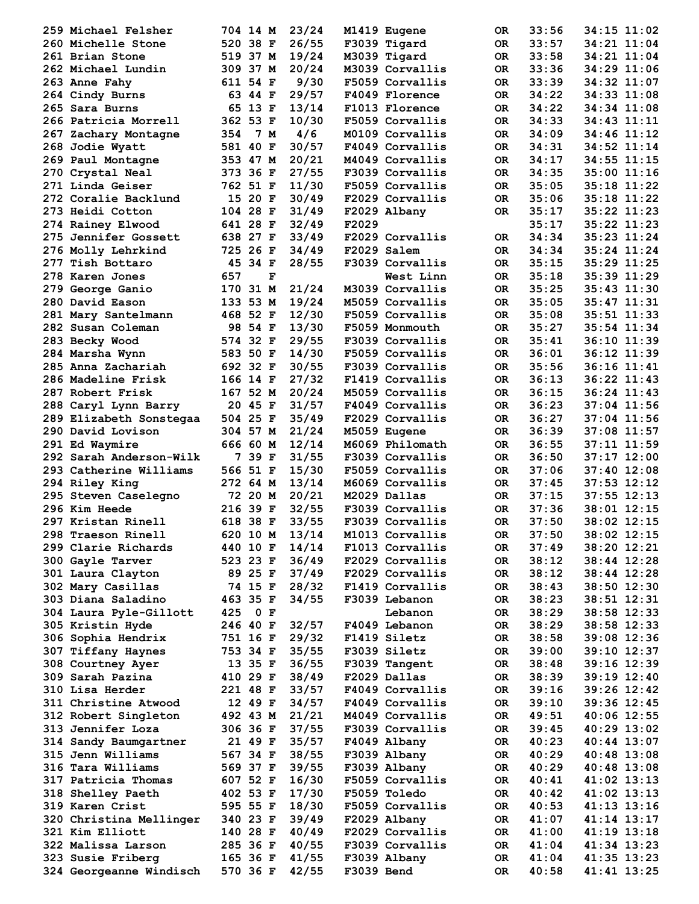| 259 Michael Felsher       | 704 14 M       | 23/24 | M1419 Eugene    | 0R        | 33:56 | 34:15 11:02     |
|---------------------------|----------------|-------|-----------------|-----------|-------|-----------------|
| 260 Michelle Stone        | 520 38 F       | 26/55 | F3039 Tigard    |           | 33:57 | 34:21 11:04     |
|                           |                |       |                 | OR.       |       |                 |
| 261 Brian Stone           | 519 37 M       | 19/24 | M3039 Tigard    | OR.       | 33:58 | 34:21 11:04     |
| 262 Michael Lundin        | 309 37 M       | 20/24 | M3039 Corvallis | OR.       | 33:36 | 34:29 11:06     |
| 263 Anne Fahy             | 611 54 F       | 9/30  | F5059 Corvallis | OR.       | 33:39 | 34:32 11:07     |
| 264 Cindy Burns           | 63 44 F        | 29/57 | F4049 Florence  | OR.       | 34:22 | $34:33$ $11:08$ |
| 265 Sara Burns            | 65 13 F        | 13/14 | F1013 Florence  | OR.       | 34:22 | 34:34 11:08     |
| 266 Patricia Morrell      | 362 53 F       | 10/30 | F5059 Corvallis | OR.       | 34:33 | 34:43 11:11     |
|                           | 354<br>7 M     | 4/6   | M0109 Corvallis | OR.       | 34:09 | 34:46 11:12     |
| 267 Zachary Montagne      |                |       |                 |           |       |                 |
| 268 Jodie Wyatt           | 581 40 F       | 30/57 | F4049 Corvallis | OR.       | 34:31 | 34:52 11:14     |
| 269 Paul Montagne         | 353 47 M       | 20/21 | M4049 Corvallis | OR.       | 34:17 | $34:55$ $11:15$ |
| 270 Crystal Neal          | 373 36 F       | 27/55 | F3039 Corvallis | OR.       | 34:35 | 35:00 11:16     |
| 271 Linda Geiser          | 762 51 F       | 11/30 | F5059 Corvallis | OR.       | 35:05 | $35:18$ $11:22$ |
| 272 Coralie Backlund      | 15 20 F        | 30/49 | F2029 Corvallis | OR.       | 35:06 | $35:18$ $11:22$ |
| 273 Heidi Cotton          | 104 28 F       | 31/49 | F2029 Albany    | OR.       | 35:17 | $35:22$ $11:23$ |
|                           |                |       |                 |           |       |                 |
| 274 Rainey Elwood         | 641 28 F       | 32/49 | F2029           |           | 35:17 | $35:22$ $11:23$ |
| 275 Jennifer Gossett      | 638 27 F       | 33/49 | F2029 Corvallis | OR.       | 34:34 | 35:23 11:24     |
| 276 Molly Lehrkind        | 725 26 F       | 34/49 | F2029 Salem     | OR.       | 34:34 | $35:24$ $11:24$ |
| 277 Tish Bottaro          | 45 34 F        | 28/55 | F3039 Corvallis | OR.       | 35:15 | 35:29 11:25     |
| 278 Karen Jones           | 657<br>F       |       | West Linn       | OR.       | 35:18 | 35:39 11:29     |
| 279 George Ganio          | 170 31 M       | 21/24 | M3039 Corvallis | OR.       | 35:25 | $35:43$ $11:30$ |
| 280 David Eason           | 133 53 M       | 19/24 | M5059 Corvallis | OR.       | 35:05 | $35:47$ $11:31$ |
|                           |                |       |                 |           |       |                 |
| 281 Mary Santelmann       | 468 52 F       | 12/30 | F5059 Corvallis | OR.       | 35:08 | $35:51$ $11:33$ |
| 282 Susan Coleman         | 98 54 F        | 13/30 | F5059 Monmouth  | OR.       | 35:27 | 35:54 11:34     |
| 283 Becky Wood            | 574 32 F       | 29/55 | F3039 Corvallis | OR.       | 35:41 | 36:10 11:39     |
| 284 Marsha Wynn           | 583 50 F       | 14/30 | F5059 Corvallis | OR.       | 36:01 | 36:12 11:39     |
| 285 Anna Zachariah        | 692 32 F       | 30/55 | F3039 Corvallis | OR.       | 35:56 | 36:16 11:41     |
| <b>286 Madeline Frisk</b> | 166 14 F       | 27/32 | F1419 Corvallis | OR.       | 36:13 | $36:22$ $11:43$ |
| 287 Robert Frisk          | 167 52 M       | 20/24 | M5059 Corvallis | OR.       | 36:15 | $36:24$ 11:43   |
|                           |                |       |                 |           |       |                 |
| 288 Caryl Lynn Barry      | 20 45 F        | 31/57 | F4049 Corvallis | OR.       | 36:23 | $37:04$ 11:56   |
| 289 Elizabeth Sonstegaa   | 504 25 F       | 35/49 | F2029 Corvallis | OR.       | 36:27 | $37:04$ 11:56   |
| 290 David Lovison         | 304 57 M       | 21/24 | M5059 Eugene    | OR.       | 36:39 | 37:08 11:57     |
| 291 Ed Waymire            | 666 60 M       | 12/14 | M6069 Philomath | OR.       | 36:55 | $37:11$ $11:59$ |
| 292 Sarah Anderson-Wilk   | 7 39 F         | 31/55 | F3039 Corvallis | OR.       | 36:50 | $37:17$ 12:00   |
| 293 Catherine Williams    | 566 51 F       | 15/30 | F5059 Corvallis | OR.       | 37:06 | $37:40$ 12:08   |
| 294 Riley King            | 272 64 M       | 13/14 | M6069 Corvallis | OR.       | 37:45 | $37:53$ $12:12$ |
|                           |                |       |                 |           |       |                 |
| 295 Steven Caselegno      | 72 20 M        | 20/21 | M2029 Dallas    | OR.       | 37:15 | $37:55$ $12:13$ |
| 296 Kim Heede             | 216 39 F       | 32/55 | F3039 Corvallis | OR.       | 37:36 | 38:01 12:15     |
| 297 Kristan Rinell        | 618 38 F       | 33/55 | F3039 Corvallis | OR.       | 37:50 | $38:02$ 12:15   |
| 298 Traeson Rinell        | 620 10 M 13/14 |       | M1013 Corvallis | OR        | 37:50 | $38:02$ 12:15   |
| 299 Clarie Richards       | 440 10 F       | 14/14 | F1013 Corvallis | OR.       | 37:49 | 38:20 12:21     |
| 300 Gayle Tarver          | 523 23 F       | 36/49 | F2029 Corvallis | OR        | 38:12 | $38:44$ 12:28   |
| 301 Laura Clayton         | 89 25 F        | 37/49 | F2029 Corvallis | OR.       | 38:12 | 38:44 12:28     |
|                           |                |       |                 |           |       |                 |
| 302 Mary Casillas         | 74 15 F        | 28/32 | F1419 Corvallis | OR.       | 38:43 | $38:50$ 12:30   |
| 303 Diana Saladino        | 463 35 F       | 34/55 | F3039 Lebanon   | OR.       | 38:23 | $38:51$ $12:31$ |
| 304 Laura Pyle-Gillott    | 0 F<br>425     |       | Lebanon         | OR.       | 38:29 | $38:58$ 12:33   |
| 305 Kristin Hyde          | 246 40 F       | 32/57 | F4049 Lebanon   | <b>OR</b> | 38:29 | $38:58$ 12:33   |
| 306 Sophia Hendrix        | 751 16 F       | 29/32 | F1419 Siletz    | OR.       | 38:58 | 39:08 12:36     |
| 307 Tiffany Haynes        | 753 34 F       | 35/55 | F3039 Siletz    | OR.       | 39:00 | 39:10 12:37     |
| 308 Courtney Ayer         | 13 35 F        | 36/55 | F3039 Tangent   | OR.       | 38:48 | $39:16$ $12:39$ |
| 309 Sarah Pazina          | 410 29 F       | 38/49 | F2029 Dallas    | OR.       | 38:39 | $39:19$ $12:40$ |
|                           |                |       |                 |           |       |                 |
| 310 Lisa Herder           | 221 48 F       | 33/57 | F4049 Corvallis | OR.       | 39:16 | $39:26$ $12:42$ |
| 311 Christine Atwood      | 12 49 F        | 34/57 | F4049 Corvallis | OR.       | 39:10 | 39:36 12:45     |
| 312 Robert Singleton      | 492 43 M       | 21/21 | M4049 Corvallis | <b>OR</b> | 49:51 | $40:06$ 12:55   |
| 313 Jennifer Loza         | 306 36 F       | 37/55 | F3039 Corvallis | OR.       | 39:45 | $40:29$ 13:02   |
| 314 Sandy Baumgartner     | 21 49 F        | 35/57 | F4049 Albany    | OR.       | 40:23 | $40:44$ 13:07   |
| 315 Jenn Williams         | 567 34 F       | 38/55 | F3039 Albany    | OR.       | 40:29 | $40:48$ 13:08   |
|                           |                |       |                 |           |       |                 |
| 316 Tara Williams         | 569 37 F       | 39/55 | F3039 Albany    | OR.       | 40:29 | $40:48$ 13:08   |
| 317 Patricia Thomas       | 607 52 F       | 16/30 | F5059 Corvallis | OR.       | 40:41 | $41:02$ $13:13$ |
| 318 Shelley Paeth         | 402 53 F       | 17/30 | F5059 Toledo    | OR.       | 40:42 | $41:02$ $13:13$ |
| 319 Karen Crist           | 595 55 F       | 18/30 | F5059 Corvallis | OR.       | 40:53 | $41:13$ $13:16$ |
| 320 Christina Mellinger   | 340 23 F       | 39/49 | F2029 Albany    | OR.       | 41:07 | 41:14 13:17     |
| 321 Kim Elliott           | 140 28 F       | 40/49 | F2029 Corvallis | OR.       | 41:00 | $41:19$ $13:18$ |
| 322 Malissa Larson        | 285 36 F       | 40/55 | F3039 Corvallis | OR.       | 41:04 | $41:34$ $13:23$ |
|                           | 165 36 F       | 41/55 | F3039 Albany    | OR        | 41:04 | 41:35 13:23     |
| 323 Susie Friberg         |                |       |                 |           |       |                 |
| 324 Georgeanne Windisch   | 570 36 F       | 42/55 | F3039 Bend      | OR.       | 40:58 | $41:41$ $13:25$ |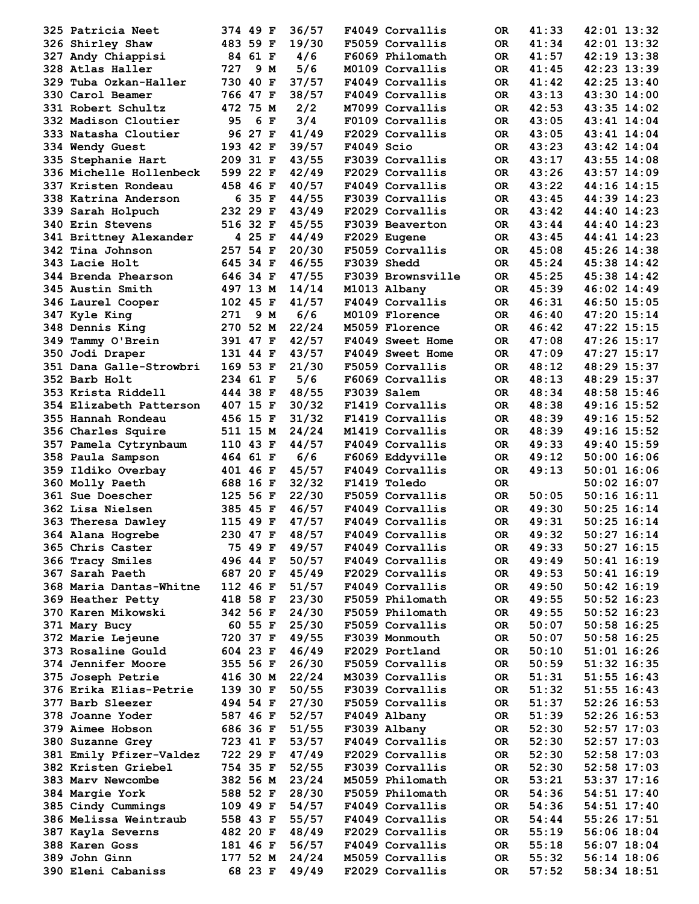| 325 Patricia Neet                       | 374 49 F             | 36/57          | F4049 Corvallis                    | 0R         | 41:33          | 42:01 13:32                    |
|-----------------------------------------|----------------------|----------------|------------------------------------|------------|----------------|--------------------------------|
| 326 Shirley Shaw                        | 483 59 F             | 19/30          | F5059 Corvallis                    | OR.        | 41:34          | $42:01$ 13:32                  |
| 327 Andy Chiappisi                      | 84 61 F              | 4/6            | F6069 Philomath                    | OR.        | 41:57          | $42:19$ $13:38$                |
| 328 Atlas Haller                        | 727<br>9 M           | 5/6            | M0109 Corvallis                    | OR.        | 41:45          | 42:23 13:39                    |
| 329 Tuba Ozkan-Haller                   | 730 40 F             | 37/57          | F4049 Corvallis                    | OR.        | 41:42          | 42:25 13:40                    |
| 330 Carol Beamer                        | 766 47 F             | 38/57          | F4049 Corvallis                    | OR.        | 43:13          | 43:30 14:00                    |
| 331 Robert Schultz                      | 472 75 M             | 2/2            | M7099 Corvallis                    | OR.        | 42:53          | 43:35 14:02                    |
| 332 Madison Cloutier                    | 95<br>6 F            | 3/4            | F0109 Corvallis                    | OR.        | 43:05          | 43:41 14:04                    |
| 333 Natasha Cloutier                    | 96 27 F              | 41/49          | F2029 Corvallis                    | OR.        | 43:05          | 43:41 14:04                    |
| 334 Wendy Guest                         | 193 42 F             | 39/57          | F4049 Scio                         | OR.        | 43:23          | 43:42 14:04                    |
| 335 Stephanie Hart                      | 209 31 F             | 43/55          | F3039 Corvallis                    | OR.        | 43:17          | $43:55$ $14:08$                |
| 336 Michelle Hollenbeck                 | 599 22 F             | 42/49          | F2029 Corvallis                    | OR.        | 43:26          | 43:57 14:09                    |
| 337 Kristen Rondeau                     | 458 46 F             | 40/57          | F4049 Corvallis                    | OR.        | 43:22          | 44:16 14:15                    |
| 338 Katrina Anderson                    | 6 35 F               | 44/55          | F3039 Corvallis                    | OR.        | 43:45          | 44:39 14:23                    |
| 339 Sarah Holpuch                       | 232 29 F             | 43/49          | F2029 Corvallis                    | OR.        | 43:42          | 44:40 14:23                    |
| <b>340 Erin Stevens</b>                 | 516 32 F             | 45/55          | F3039 Beaverton                    | OR.        | 43:44          | 44:40 14:23                    |
| 341 Brittney Alexander                  | 4 25 F               | 44/49          | F2029 Eugene                       | OR.        | 43:45          | 44:41 14:23                    |
| 342 Tina Johnson                        | 257 54 F             | 20/30          | F5059 Corvallis                    | OR.        | 45:08          | 45:26 14:38                    |
| 343 Lacie Holt                          | 645 34 F             | 46/55          | F3039 Shedd                        | OR.        | 45:24          | 45:38 14:42                    |
| 344 Brenda Phearson                     | 646 34 F             | 47/55          | F3039 Brownsville                  | OR.        | 45:25          | 45:38 14:42                    |
| 345 Austin Smith<br>346 Laurel Cooper   | 497 13 M<br>102 45 F | 14/14<br>41/57 | M1013 Albany<br>F4049 Corvallis    | OR.        | 45:39<br>46:31 | $46:02$ 14:49<br>46:50 15:05   |
|                                         | 271<br>9 M           | 6/6            | M0109 Florence                     | OR.<br>OR. | 46:40          | 47:20 15:14                    |
| 347 Kyle King<br>348 Dennis King        | 270 52 M             | 22/24          | M5059 Florence                     | OR.        | 46:42          | 47:22 15:15                    |
| 349 Tammy O'Brein                       | 391 47 F             | 42/57          | F4049 Sweet Home                   | OR.        | 47:08          | 47:26 15:17                    |
| 350 Jodi Draper                         | 131 44 F             | 43/57          | F4049 Sweet Home                   | OR.        | 47:09          | 47:27 15:17                    |
| 351 Dana Galle-Strowbri                 | 169 53 F             | 21/30          | F5059 Corvallis                    | OR.        | 48:12          | 48:29 15:37                    |
| 352 Barb Holt                           | 234 61 F             | 5/6            | F6069 Corvallis                    | OR.        | 48:13          | 48:29 15:37                    |
| 353 Krista Riddell                      | 444 38 F             | 48/55          | F3039 Salem                        | OR.        | 48:34          | 48:58 15:46                    |
| 354 Elizabeth Patterson                 | 407 15 F             | 30/32          | F1419 Corvallis                    | OR.        | 48:38          | 49:16 15:52                    |
| 355 Hannah Rondeau                      | 456 15 F             | 31/32          | F1419 Corvallis                    | OR.        | 48:39          | 49:16 15:52                    |
| 356 Charles Squire                      | 511 15 M             | 24/24          | M1419 Corvallis                    | OR.        | 48:39          | 49:16 15:52                    |
| 357 Pamela Cytrynbaum                   | 110 43 F             | 44/57          | F4049 Corvallis                    | OR.        | 49:33          | 49:40 15:59                    |
| 358 Paula Sampson                       | 464 61 F             | 6/6            | F6069 Eddyville                    | OR.        | 49:12          | $50:00$ 16:06                  |
| 359 Ildiko Overbay                      | 401 46 F             | 45/57          | F4049 Corvallis                    | OR.        | 49:13          | $50:01$ 16:06                  |
| 360 Molly Paeth                         | 688 16 F             | 32/32          | F1419 Toledo                       | OR.        |                | $50:02$ 16:07                  |
| 361 Sue Doescher                        | 125 56 F             | 22/30          | F5059 Corvallis                    | OR.        | 50:05          | $50:16$ 16:11                  |
| 362 Lisa Nielsen                        | 385 45 F             | 46/57          | F4049 Corvallis                    | OR.        | 49:30          | $50:25$ 16:14                  |
| 363 Theresa Dawley                      | 115 49 F             | 47/57          | F4049 Corvallis                    | <b>OR</b>  | 49:31          | $50:25$ 16:14                  |
| 364 Alana Hogrebe                       | 230 47 F 48/57       |                | F4049 Corvallis                    | ${\sf OR}$ | 49:32          | $50:27$ 16:14                  |
| 365 Chris Caster                        | 75 49 F              | 49/57          | F4049 Corvallis                    | OR.        | 49:33          | $50:27$ 16:15                  |
| 366 Tracy Smiles                        | 496 44 F             | 50/57          | F4049 Corvallis                    | OR.        | 49:49          | $50:41$ 16:19                  |
| 367 Sarah Paeth                         | 687 20 F             | 45/49          | F2029 Corvallis                    | OR.        | 49:53          | $50:41$ $16:19$                |
| 368 Maria Dantas-Whitne                 | 112 46 F             | 51/57          | F4049 Corvallis<br>F5059 Philomath | OR.        | 49:50<br>49:55 | $50:42$ 16:19                  |
| 369 Heather Petty<br>370 Karen Mikowski | 418 58 F<br>342 56 F | 23/30<br>24/30 | F5059 Philomath                    | OR.<br>OR. | 49:55          | $50:52$ 16:23<br>$50:52$ 16:23 |
| 371 Mary Bucy                           | 60 55 F              | 25/30          | F5059 Corvallis                    | OR.        | 50:07          | $50:58$ 16:25                  |
| 372 Marie Lejeune                       | 720 37 F             | 49/55          | F3039 Monmouth                     | OR.        | 50:07          | $50:58$ 16:25                  |
| 373 Rosaline Gould                      | 604 23 F             | 46/49          | F2029 Portland                     | OR.        | 50:10          | $51:01$ $16:26$                |
| <b>374 Jennifer Moore</b>               | 355 56 F             | 26/30          | F5059 Corvallis                    | OR.        | 50:59          | $51:32$ $16:35$                |
| 375 Joseph Petrie                       | 416 30 M             | 22/24          | M3039 Corvallis                    | OR.        | 51:31          | $51:55$ $16:43$                |
| 376 Erika Elias-Petrie                  | 139 30 F             | 50/55          | F3039 Corvallis                    | OR.        | 51:32          | $51:55$ $16:43$                |
| 377 Barb Sleezer                        | 494 54 F             | 27/30          | F5059 Corvallis                    | OR.        | 51:37          | $52:26$ 16:53                  |
| 378 Joanne Yoder                        | 587 46 F             | 52/57          | F4049 Albany                       | OR.        | 51:39          | $52:26$ 16:53                  |
| 379 Aimee Hobson                        | 686 36 F             | 51/55          | F3039 Albany                       | OR.        | 52:30          | $52:57$ 17:03                  |
| 380 Suzanne Grey                        | 723 41 F             | 53/57          | F4049 Corvallis                    | OR.        | 52:30          | $52:57$ 17:03                  |
| 381 Emily Pfizer-Valdez                 | 722 29 F             | 47/49          | F2029 Corvallis                    | OR.        | 52:30          | $52:58$ 17:03                  |
| 382 Kristen Griebel                     | 754 35 F             | 52/55          | F3039 Corvallis                    | OR.        | 52:30          | $52:58$ 17:03                  |
| 383 Marv Newcombe                       | 382 56 M             | 23/24          | M5059 Philomath                    | OR.        | 53:21          | $53:37$ $17:16$                |
| 384 Margie York                         | 588 52 F             | 28/30          | F5059 Philomath                    | OR.        | 54:36          | $54:51$ $17:40$                |
| 385 Cindy Cummings                      | 109 49 F             | 54/57          | F4049 Corvallis                    | OR.        | 54:36          | $54:51$ $17:40$                |
| 386 Melissa Weintraub                   | 558 43 F             | 55/57          | F4049 Corvallis                    | OR.        | 54:44          | 55:26 17:51                    |
| 387 Kayla Severns                       | 482 20 F             | 48/49          | F2029 Corvallis                    | OR.        | 55:19          | $56:06$ 18:04                  |
| 388 Karen Goss                          | 181 46 F             | 56/57          | F4049 Corvallis                    | OR.        | 55:18          | $56:07$ 18:04                  |
| 389 John Ginn                           | 177 52 M             | 24/24          | M5059 Corvallis                    | OR.        | 55:32          | $56:14$ 18:06                  |
| 390 Eleni Cabaniss                      | 68 23 F              | 49/49          | F2029 Corvallis                    | OR.        | 57:52          | $58:34$ 18:51                  |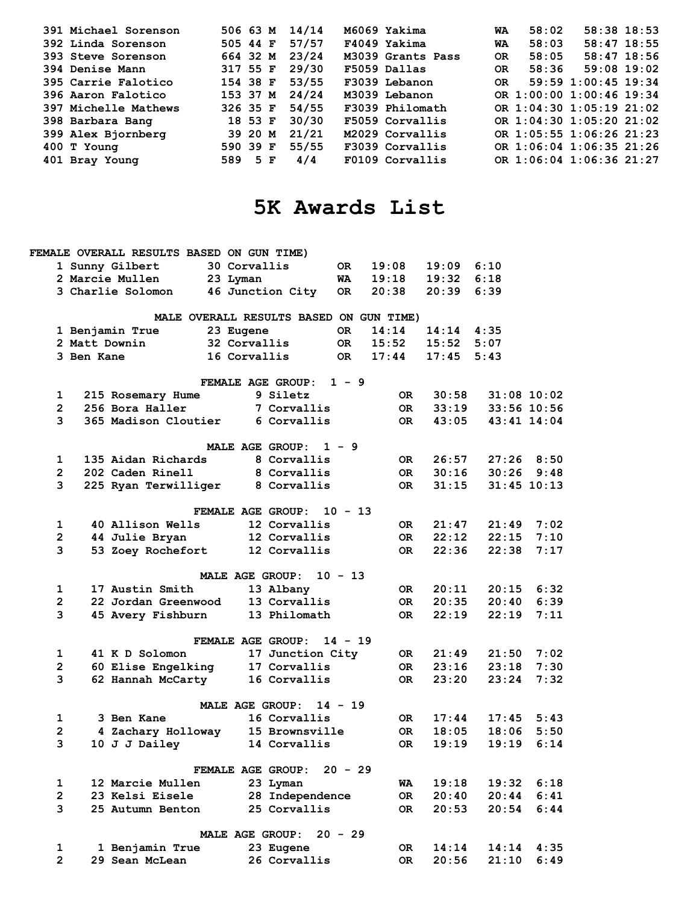| 391 Michael Sorenson | 506 63 M | 14/14 | M6069 Yakima      | WA        | 58:02 | $58:38$ 18:53            |  |
|----------------------|----------|-------|-------------------|-----------|-------|--------------------------|--|
| 392 Linda Sorenson   | 505 44 F | 57/57 | F4049 Yakima      | WA        | 58:03 | $58:47$ 18:55            |  |
| 393 Steve Sorenson   | 664 32 M | 23/24 | M3039 Grants Pass | <b>OR</b> | 58:05 | $58:47$ 18:56            |  |
| 394 Denise Mann      | 317 55 F | 29/30 | F5059 Dallas      | <b>OR</b> | 58:36 | $59:08$ 19:02            |  |
| 395 Carrie Falotico  | 154 38 F | 53/55 | F3039 Lebanon     | OR.       |       | 59:59 1:00:45 19:34      |  |
| 396 Aaron Falotico   | 153 37 M | 24/24 | M3039 Lebanon     |           |       | OR 1:00:00 1:00:46 19:34 |  |
| 397 Michelle Mathews | 326 35 F | 54/55 | F3039 Philomath   |           |       | OR 1:04:30 1:05:19 21:02 |  |
| 398 Barbara Bang     | 18 53 F  | 30/30 | F5059 Corvallis   |           |       | OR 1:04:30 1:05:20 21:02 |  |
| 399 Alex Bjornberg   | 39 20 M  | 21/21 | M2029 Corvallis   |           |       | OR 1:05:55 1:06:26 21:23 |  |
| 400 T Young          | 590 39 F | 55/55 | F3039 Corvallis   |           |       | OR 1:06:04 1:06:35 21:26 |  |
| 401 Bray Young       | 589 5 F  | 4/4   | F0109 Corvallis   |           |       | OR 1:06:04 1:06:36 21:27 |  |

# **5K Awards List**

|                         |            | FEMALE OVERALL RESULTS BASED ON GUN TIME) |                 |                                         |           |           |       |       |                 |
|-------------------------|------------|-------------------------------------------|-----------------|-----------------------------------------|-----------|-----------|-------|-------|-----------------|
|                         |            | 1 Sunny Gilbert                           | 30 Corvallis    |                                         | OR.       | 19:08     | 19:09 | 6:10  |                 |
|                         |            | 2 Marcie Mullen                           | 23 Lyman        |                                         | WA        | 19:18     | 19:32 | 6:18  |                 |
|                         |            | 3 Charlie Solomon                         |                 | 46 Junction City                        | OR.       | 20:38     | 20:39 | 6:39  |                 |
|                         |            |                                           |                 | MALE OVERALL RESULTS BASED ON GUN TIME) |           |           |       |       |                 |
|                         |            | 1 Benjamin True                           | 23 Eugene       |                                         | OR.       | 14:14     | 14:14 | 4:35  |                 |
|                         |            | 2 Matt Downin                             | 32 Corvallis    |                                         | <b>OR</b> | 15:52     | 15:52 | 5:07  |                 |
|                         | 3 Ben Kane |                                           | 16 Corvallis    |                                         | OR.       | 17:44     | 17:45 | 5:43  |                 |
|                         |            |                                           |                 | <b>FEMALE AGE GROUP:</b>                | $1 - 9$   |           |       |       |                 |
| 1                       |            | 215 Rosemary Hume                         |                 | 9 Siletz                                |           | 0R.       | 30:58 |       | $31:08$ 10:02   |
| $\mathbf{2}$            |            | 256 Bora Haller                           |                 | 7 Corvallis                             |           | OR        | 33:19 |       | $33:56$ 10:56   |
| 3                       |            | 365 Madison Cloutier                      |                 | 6 Corvallis                             |           | OR        | 43:05 |       | 43:41 14:04     |
|                         |            |                                           |                 | MALE AGE GROUP:                         | $1 - 9$   |           |       |       |                 |
| 1                       |            | 135 Aidan Richards                        |                 | 8 Corvallis                             |           | OR        | 26:57 |       | $27:26$ 8:50    |
| $\overline{2}$          |            | 202 Caden Rinell                          |                 | 8 Corvallis                             |           | 0R l      | 30:16 | 30:26 | 9:48            |
| 3                       |            | 225 Ryan Terwilliger                      |                 | 8 Corvallis                             |           | 0R        | 31:15 |       | $31:45$ $10:13$ |
|                         |            |                                           |                 | FEMALE AGE GROUP:                       | $10 - 13$ |           |       |       |                 |
| 1                       |            | 40 Allison Wells                          |                 | 12 Corvallis                            |           | OR .      | 21:47 | 21:49 | 7:02            |
| $\overline{\mathbf{c}}$ |            | 44 Julie Bryan                            |                 | 12 Corvallis                            |           | 0R l      | 22:12 | 22:15 | 7:10            |
| 3                       |            | 53 Zoey Rochefort                         |                 | 12 Corvallis                            |           | 0R        | 22:36 | 22:38 | 7:17            |
|                         |            |                                           |                 | <b>MALE AGE GROUP:</b>                  | $10 - 13$ |           |       |       |                 |
| 1                       |            | 17 Austin Smith                           |                 | 13 Albany                               |           | 0R.       | 20:11 | 20:15 | 6:32            |
| $\overline{\mathbf{c}}$ |            | 22 Jordan Greenwood                       |                 | 13 Corvallis                            |           | OR        | 20:35 | 20:40 | 6:39            |
| 3                       |            | 45 Avery Fishburn                         |                 | 13 Philomath                            |           | OR.       | 22:19 | 22:19 | 7:11            |
|                         |            |                                           |                 | FEMALE AGE GROUP:                       | $14 - 19$ |           |       |       |                 |
| 1                       |            | 41 K D Solomon                            |                 | 17 Junction City                        |           | OR        | 21:49 | 21:50 | 7:02            |
| $\mathbf{2}$            |            | 60 Elise Engelking                        |                 | 17 Corvallis                            |           | OR        | 23:16 | 23:18 | 7:30            |
| 3                       |            | 62 Hannah McCarty                         |                 | 16 Corvallis                            |           | 0R        | 23:20 | 23:24 | 7:32            |
|                         |            |                                           |                 | <b>MALE AGE GROUP:</b>                  | $14 - 19$ |           |       |       |                 |
| 1                       |            | 3 Ben Kane                                |                 | 16 Corvallis                            |           | OR        | 17:44 | 17:45 | 5:43            |
| $\overline{2}$          |            | 4 Zachary Holloway                        |                 | 15 Brownsville                          |           | 0R        | 18:05 | 18:06 | 5:50            |
| 3                       |            | 10 J J Dailey                             |                 | 14 Corvallis                            |           | OR.       | 19:19 | 19:19 | 6:14            |
|                         |            |                                           |                 |                                         |           |           |       |       |                 |
|                         |            |                                           |                 | FEMALE AGE GROUP:                       | $20 - 29$ |           |       |       |                 |
| 1                       |            | 12 Marcie Mullen                          |                 | 23 Lyman                                |           | WA        | 19:18 | 19:32 | 6:18            |
| $\overline{2}$          |            | 23 Kelsi Eisele                           |                 | 28 Independence                         |           | <b>OR</b> | 20:40 | 20:44 | 6:41            |
| 3                       |            | 25 Autumn Benton                          |                 | 25 Corvallis                            |           | OR.       | 20:53 | 20:54 | 6:44            |
|                         |            |                                           | MALE AGE GROUP: |                                         | $20 - 29$ |           |       |       |                 |
| 1                       |            | 1 Benjamin True                           |                 | 23 Eugene                               |           | OR        | 14:14 | 14:14 | 4:35            |
| $\overline{2}$          |            | 29 Sean McLean                            |                 | 26 Corvallis                            |           | 0R        | 20:56 | 21:10 | 6:49            |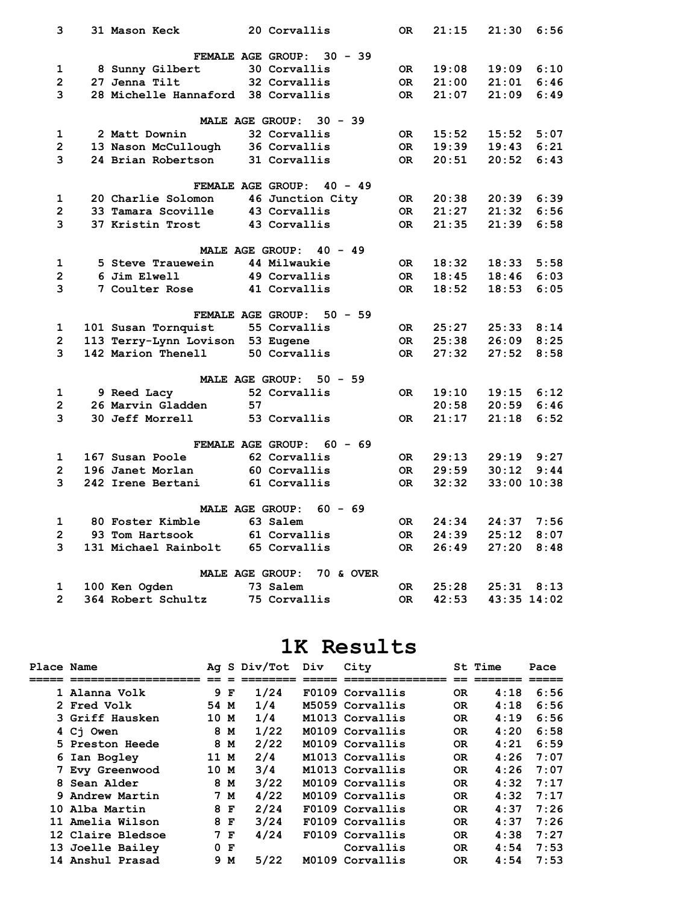| 3              | 31 Mason Keck                      | 20 Corvallis                        | 0R   | 21:15 | 21:30          | 6:56 |
|----------------|------------------------------------|-------------------------------------|------|-------|----------------|------|
|                |                                    | $30 - 39$<br>FEMALE AGE GROUP:      |      |       |                |      |
| 1              | 8 Sunny Gilbert                    | 30 Corvallis                        | OR   | 19:08 | 19:09          | 6:10 |
| $\overline{2}$ | 27 Jenna Tilt                      | 32 Corvallis                        | 0R   | 21:00 | 21:01          | 6:46 |
| 3              | 28 Michelle Hannaford 38 Corvallis |                                     | 0R   | 21:07 | 21:09          | 6:49 |
|                |                                    |                                     |      |       |                |      |
|                |                                    | MALE AGE GROUP:<br>$30 - 39$        |      |       |                |      |
| 1              | 2 Matt Downin                      | 32 Corvallis                        | OR . | 15:52 | 15:52          | 5:07 |
| $\overline{2}$ | 13 Nason McCullough                | 36 Corvallis                        | OR   | 19:39 | 19:43          | 6:21 |
| 3              | 24 Brian Robertson                 | 31 Corvallis                        | OR.  | 20:51 | 20:52          | 6:43 |
|                |                                    | FEMALE AGE GROUP: 40 - 49           |      |       |                |      |
| 1              | 20 Charlie Solomon                 | 46 Junction City                    | OR   | 20:38 | 20:39          | 6:39 |
| $\overline{2}$ | 33 Tamara Scoville                 | 43 Corvallis                        | OR   | 21:27 | 21:32          | 6:56 |
| 3              | 37 Kristin Trost                   | 43 Corvallis                        | OR   | 21:35 | 21:39          | 6:58 |
|                |                                    |                                     |      |       |                |      |
|                |                                    | MALE AGE GROUP: $40 - 49$           |      |       |                |      |
| 1              | 5 Steve Trauewein                  | 44 Milwaukie                        | OR   | 18:32 | 18:33          | 5:58 |
| $\overline{2}$ | 6 Jim Elwell                       | 49 Corvallis                        | OR.  | 18:45 | 18:46          | 6:03 |
| 3              | <b>7 Coulter Rose</b>              | 41 Corvallis                        | OR.  | 18:52 | 18:53          | 6:05 |
|                |                                    |                                     |      |       |                |      |
|                |                                    | FEMALE AGE GROUP:<br>$50 - 59$      |      |       |                |      |
| 1              | 101 Susan Tornquist                | 55 Corvallis                        | OR   | 25:27 | $25:33$ $8:14$ |      |
| $\mathbf{2}$   | 113 Terry-Lynn Lovison 53 Eugene   |                                     | OR   | 25:38 | 26:09          | 8:25 |
| 3              | 142 Marion Thenell                 | 50 Corvallis                        | OR.  | 27:32 | 27:52          | 8:58 |
|                |                                    | <b>MALE AGE GROUP:</b><br>$50 - 59$ |      |       |                |      |
| 1              | 9 Reed Lacy                        | 52 Corvallis                        | OR.  | 19:10 | 19:15          | 6:12 |
| $\overline{2}$ | 26 Marvin Gladden                  | 57                                  |      | 20:58 | 20:59          | 6:46 |
| 3              | 30 Jeff Morrell                    | 53 Corvallis                        | OR.  | 21:17 | 21:18          | 6:52 |
|                |                                    |                                     |      |       |                |      |
|                |                                    | FEMALE AGE GROUP:<br>$60 - 69$      |      |       |                |      |
| 1              | 167 Susan Poole                    | 62 Corvallis                        | OR   | 29:13 | 29:19          | 9:27 |
| $\overline{2}$ | 196 Janet Morlan                   | 60 Corvallis                        | 0R   | 29:59 | 30:12          | 9:44 |
| 3              | 242 Irene Bertani                  | 61 Corvallis                        | OR.  | 32:32 | $33:00$ 10:38  |      |
|                |                                    | <b>MALE AGE GROUP:</b><br>$60 - 69$ |      |       |                |      |
| 1              | 80 Foster Kimble                   | 63 Salem                            | OR   | 24:34 | 24:37 7:56     |      |
| $\overline{2}$ | 93 Tom Hartsook                    | 61 Corvallis                        | OR   | 24:39 | 25:12          | 8:07 |
| 3              | 131 Michael Rainbolt               | 65 Corvallis                        | OR.  | 26:49 | 27:20          | 8:48 |
|                |                                    |                                     |      |       |                |      |
|                |                                    | <b>MALE AGE GROUP:</b><br>70 & OVER |      |       |                |      |
| 1              | 100 Ken Ogden                      | 73 Salem                            | OR.  | 25:28 | 25:31          | 8:13 |
| $\overline{2}$ | 364 Robert Schultz                 | 75 Corvallis                        | 0R   | 42:53 | 43:35 14:02    |      |

#### **1K Results**

| Place Name |                    |      |     | Ag S Div/Tot Div | City            |           | St Time | Pace |
|------------|--------------------|------|-----|------------------|-----------------|-----------|---------|------|
|            |                    |      |     |                  |                 |           |         |      |
|            | 1 Alanna Volk      |      | 9 F | 1/24             | F0109 Corvallis | <b>OR</b> | 4:18    | 6:56 |
|            | <b>2 Fred Volk</b> | 54 M |     | 1/4              | M5059 Corvallis | OR.       | 4:18    | 6:56 |
|            | 3 Griff Hausken    | 10 M |     | 1/4              | M1013 Corvallis | OR.       | 4:19    | 6:56 |
|            | 4 Ci Owen          |      | 8 M | 1/22             | M0109 Corvallis | <b>OR</b> | 4:20    | 6:58 |
|            | 5 Preston Heede    |      | 8 M | 2/22             | M0109 Corvallis | OR.       | 4:21    | 6:59 |
|            | 6 Ian Bogley       | 11 M |     | 2/4              | M1013 Corvallis | OR.       | 4:26    | 7:07 |
|            | 7 Evy Greenwood    | 10 M |     | 3/4              | M1013 Corvallis | <b>OR</b> | 4:26    | 7:07 |
|            | 8 Sean Alder       |      | 8 M | 3/22             | M0109 Corvallis | OR.       | 4:32    | 7:17 |
|            | 9 Andrew Martin    |      | 7 M | 4/22             | M0109 Corvallis | OR.       | 4:32    | 7:17 |
|            | 10 Alba Martin     |      | 8 F | 2/24             | F0109 Corvallis | 0R        | 4:37    | 7:26 |
|            | 11 Amelia Wilson   |      | 8 F | 3/24             | F0109 Corvallis | 0R        | 4:37    | 7:26 |
|            | 12 Claire Bledsoe  |      | 7 F | 4/24             | F0109 Corvallis | OR.       | 4:38    | 7:27 |
|            | 13 Joelle Bailey   |      | 0 F |                  | Corvallis       | OR.       | 4:54    | 7:53 |
|            | 14 Anshul Prasad   |      | 9 M | 5/22             | M0109 Corvallis | <b>OR</b> | 4:54    | 7:53 |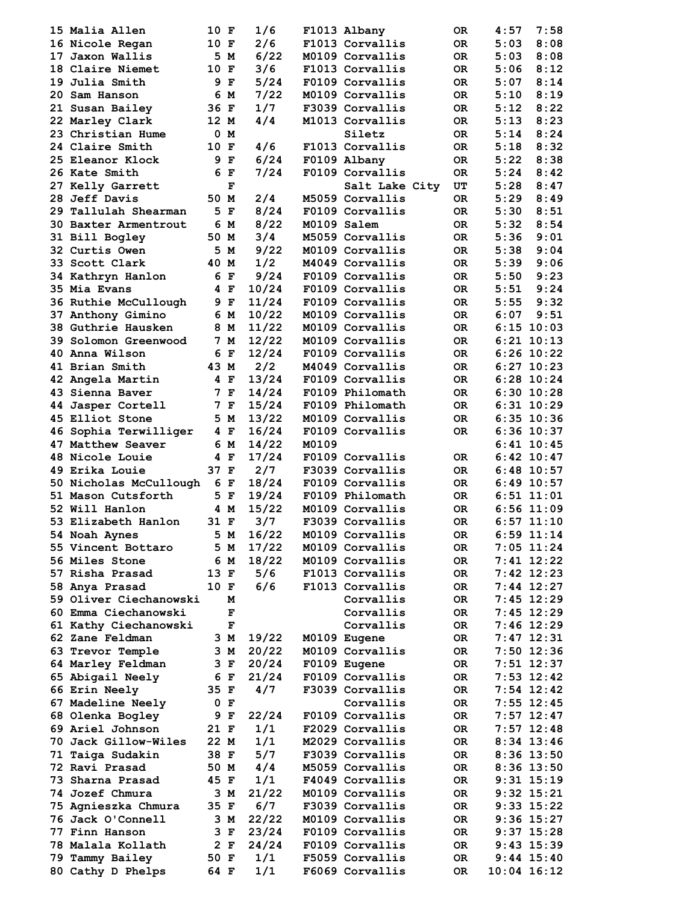| 15 Malia Allen              | 10 F |     | 1/6       |             | F1013 Albany    | OR.             | 4:57 | 7:58           |
|-----------------------------|------|-----|-----------|-------------|-----------------|-----------------|------|----------------|
|                             |      |     |           |             |                 |                 |      |                |
| 16 Nicole Regan             | 10 F |     | 2/6       |             | F1013 Corvallis | OR.             | 5:03 | 8:08           |
| 17 Jaxon Wallis             |      | 5 M | 6/22      |             | M0109 Corvallis | OR.             | 5:03 | 8:08           |
| 18 Claire Niemet            | 10 F |     | 3/6       |             | F1013 Corvallis | OR.             | 5:06 | 8:12           |
| 19 Julia Smith              |      | 9 F | 5/24      |             | F0109 Corvallis | OR.             | 5:07 | 8:14           |
| 20 Sam Hanson               |      | 6 M | 7/22      |             | M0109 Corvallis | OR.             | 5:10 | 8:19           |
| 21 Susan Bailey             | 36 F |     | 1/7       |             | F3039 Corvallis | OR.             | 5:12 | 8:22           |
| 22 Marley Clark             | 12 M |     | 4/4       |             | M1013 Corvallis | OR.             | 5:13 | 8:23           |
| 23 Christian Hume           |      | 0 M |           |             | Siletz          | OR.             | 5:14 | 8:24           |
|                             |      |     |           |             |                 |                 |      |                |
| 24 Claire Smith             | 10 F |     | 4/6       |             | F1013 Corvallis | OR.             | 5:18 | 8:32           |
| 25 Eleanor Klock            |      | 9 F | 6/24      |             | F0109 Albany    | <b>OR</b>       | 5:22 | 8:38           |
| 26 Kate Smith               |      | 6 F | 7/24      |             | F0109 Corvallis | OR.             | 5:24 | 8:42           |
| 27 Kelly Garrett            |      | F   |           |             | Salt Lake City  | UT              | 5:28 | 8:47           |
| 28 Jeff Davis               | 50 M |     | 2/4       |             | M5059 Corvallis | OR.             | 5:29 | 8:49           |
| 29 Tallulah Shearman        |      | 5 F | 8/24      |             | F0109 Corvallis | OR.             | 5:30 | 8:51           |
| 30 Baxter Armentrout        |      | 6 M | 8/22      | M0109 Salem |                 | OR.             | 5:32 | 8:54           |
|                             |      |     |           |             |                 |                 |      |                |
| 31 Bill Bogley              | 50 M |     | 3/4       |             | M5059 Corvallis | OR.             | 5:36 | 9:01           |
| 32 Curtis Owen              |      | 5 M | 9/22      |             | M0109 Corvallis | OR.             | 5:38 | 9:04           |
| 33 Scott Clark              | 40 M |     | 1/2       |             | M4049 Corvallis | OR.             | 5:39 | 9:06           |
| 34 Kathryn Hanlon           |      | 6 F | 9/24      |             | F0109 Corvallis | <b>OR</b>       | 5:50 | 9:23           |
| 35 Mia Evans                |      | 4 F | 10/24     |             | F0109 Corvallis | OR.             | 5:51 | 9:24           |
| 36 Ruthie McCullough        |      | 9 F | 11/24     |             | F0109 Corvallis | OR.             | 5:55 | 9:32           |
|                             |      | 6 M | 10/22     |             | M0109 Corvallis | OR.             | 6:07 | 9:51           |
| 37 Anthony Gimino           |      |     |           |             |                 |                 |      |                |
| 38 Guthrie Hausken          |      | 8 M | 11/22     |             | M0109 Corvallis | OR.             |      | $6:15$ 10:03   |
| <b>39 Solomon Greenwood</b> |      | 7 M | 12/22     |             | M0109 Corvallis | OR.             |      | $6:21$ $10:13$ |
| 40 Anna Wilson              |      | 6 F | 12/24     |             | F0109 Corvallis | OR.             |      | $6:26$ $10:22$ |
| 41 Brian Smith              | 43 M |     | 2/2       |             | M4049 Corvallis | OR.             |      | $6:27$ 10:23   |
| 42 Angela Martin            |      | 4 F | 13/24     |             | F0109 Corvallis | OR.             |      | $6:28$ 10:24   |
| 43 Sienna Baver             |      | 7 F | 14/24     |             | F0109 Philomath | <b>OR</b>       |      | $6:30$ 10:28   |
| 44 Jasper Cortell           |      | 7 F | 15/24     |             | F0109 Philomath | OR.             |      | $6:31$ $10:29$ |
|                             |      |     |           |             |                 |                 |      |                |
| 45 Elliot Stone             |      | 5 M | 13/22     |             | M0109 Corvallis | OR.             |      | $6:35$ 10:36   |
| 46 Sophia Terwilliger       |      | 4 F | 16/24     |             | F0109 Corvallis | OR.             |      | $6:36$ 10:37   |
| 47 Matthew Seaver           |      | 6 M | 14/22     | M0109       |                 |                 |      | $6:41$ $10:45$ |
| 48 Nicole Louie             |      | 4 F | 17/24     |             | F0109 Corvallis | OR.             |      | $6:42$ $10:47$ |
| 49 Erika Louie              | 37 F |     | 2/7       |             | F3039 Corvallis | OR.             |      | $6:48$ 10:57   |
| 50 Nicholas McCullough      |      | 6 F | 18/24     |             | F0109 Corvallis | OR.             |      | $6:49$ 10:57   |
| 51 Mason Cutsforth          |      | 5 F | 19/24     |             | F0109 Philomath | OR.             |      | $6:51$ $11:01$ |
| 52 Will Hanlon              |      | 4 M | 15/22     |             | M0109 Corvallis | <b>OR</b>       |      | $6:56$ 11:09   |
|                             |      |     |           |             |                 |                 |      |                |
| 53 Elizabeth Hanlon         | 31 F |     | 3/7       |             | F3039 Corvallis | OR.             |      | $6:57$ 11:10   |
| 54 Noah Aynes               |      |     | 5 M 16/22 |             | M0109 Corvallis | OR <sub>.</sub> |      | $6:59$ $11:14$ |
| 55 Vincent Bottaro          |      | 5 M | 17/22     |             | M0109 Corvallis | 0R              |      | $7:05$ 11:24   |
| 56 Miles Stone              |      | 6 M | 18/22     |             | M0109 Corvallis | OR              |      | $7:41$ 12:22   |
| 57 Risha Prasad             | 13 F |     | 5/6       |             | F1013 Corvallis | OR.             |      | $7:42$ 12:23   |
| 58 Anya Prasad              | 10 F |     | 6/6       |             | F1013 Corvallis | 0R              |      | $7:44$ 12:27   |
| 59 Oliver Ciechanowski      |      | м   |           |             | Corvallis       | 0R              |      | $7:45$ 12:29   |
| 60 Emma Ciechanowski        |      |     |           |             |                 |                 |      |                |
|                             |      | F   |           |             | Corvallis       | 0R              |      | $7:45$ 12:29   |
| 61 Kathy Ciechanowski       |      | F   |           |             | Corvallis       | OR.             |      | $7:46$ 12:29   |
| 62 Zane Feldman             |      | 3 M | 19/22     |             | M0109 Eugene    | 0R              |      | $7:47$ 12:31   |
| 63 Trevor Temple            |      | 3 M | 20/22     |             | M0109 Corvallis | 0R              |      | $7:50$ 12:36   |
| 64 Marley Feldman           |      | 3 F | 20/24     |             | F0109 Eugene    | OR.             |      | $7:51$ $12:37$ |
| 65 Abigail Neely            |      | 6 F | 21/24     |             | F0109 Corvallis | OR              |      | $7:53$ 12:42   |
| 66 Erin Neely               | 35 F |     | 4/7       |             | F3039 Corvallis | OR.             |      | $7:54$ 12:42   |
|                             |      |     |           |             |                 |                 |      |                |
| 67 Madeline Neely           |      | 0 F |           |             | Corvallis       | 0R              |      | $7:55$ 12:45   |
| 68 Olenka Bogley            |      | 9 F | 22/24     |             | F0109 Corvallis | 0R              |      | $7:57$ 12:47   |
| 69 Ariel Johnson            | 21 F |     | 1/1       |             | F2029 Corvallis | 0R              |      | $7:57$ 12:48   |
| 70 Jack Gillow-Wiles        | 22 M |     | 1/1       |             | M2029 Corvallis | OR.             |      | $8:34$ 13:46   |
| 71 Taiga Sudakin            | 38 F |     | 5/7       |             | F3039 Corvallis | OR.             |      | $8:36$ 13:50   |
| 72 Ravi Prasad              | 50 M |     | 4/4       |             | M5059 Corvallis | OR.             |      | $8:36$ 13:50   |
| 73 Sharna Prasad            | 45 F |     | 1/1       |             | F4049 Corvallis | OR.             |      | $9:31$ $15:19$ |
| 74 Jozef Chmura             |      | 3 M | 21/22     |             | M0109 Corvallis | OR              |      | $9:32$ $15:21$ |
|                             |      |     |           |             |                 |                 |      |                |
| 75 Agnieszka Chmura         | 35 F |     | 6/7       |             | F3039 Corvallis | OR.             |      | $9:33$ $15:22$ |
|                             |      |     | 22/22     |             | M0109 Corvallis | 0R              |      | $9:36$ 15:27   |
| 76 Jack O'Connell           | зм   |     |           |             |                 |                 |      |                |
| 77 Finn Hanson              |      | 3 F | 23/24     |             | F0109 Corvallis | 0R              |      | $9:37$ 15:28   |
| 78 Malala Kollath           |      | 2 F | 24/24     |             | F0109 Corvallis | OR.             |      | $9:43$ 15:39   |
| 79 Tammy Bailey             | 50 F |     | 1/1       |             | F5059 Corvallis | 0R              |      | $9:44$ $15:40$ |